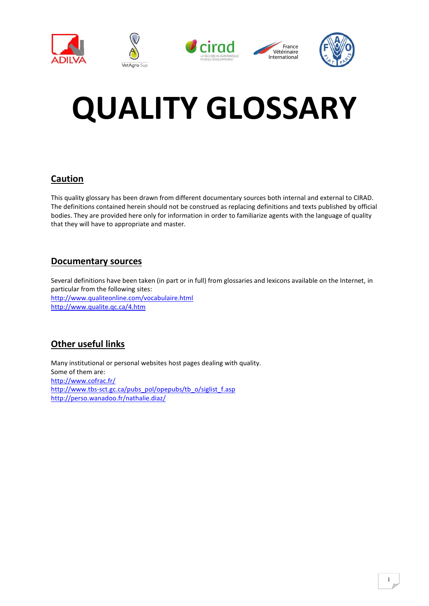

# **QUALITY GLOSSARY**

### **Caution**

This quality glossary has been drawn from different documentary sources both internal and external to CIRAD. The definitions contained herein should not be construed as replacing definitions and texts published by official bodies. They are provided here only for information in order to familiarize agents with the language of quality that they will have to appropriate and master.

#### **Documentary sources**

Several definitions have been taken (in part or in full) from glossaries and lexicons available on the Internet, in particular from the following sites: <http://www.qualiteonline.com/vocabulaire.html> <http://www.qualite.qc.ca/4.htm>

## **Other useful links**

Many institutional or personal websites host pages dealing with quality. Some of them are: <http://www.cofrac.fr/> [http://www.tbs-sct.gc.ca/pubs\\_pol/opepubs/tb\\_o/siglist\\_f.asp](http://www.tbs-sct.gc.ca/pubs_pol/opepubs/tb_o/siglist_f.asp) <http://perso.wanadoo.fr/nathalie.diaz/>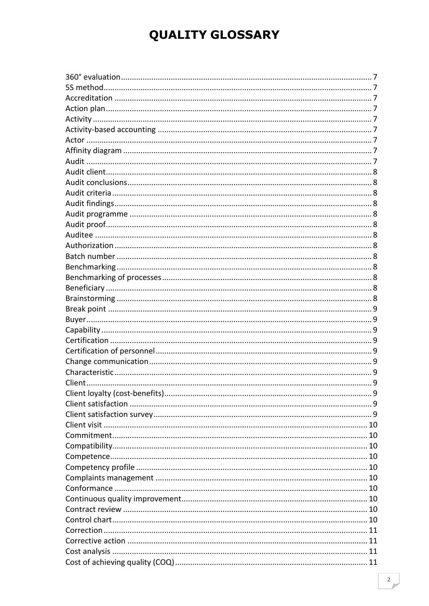# **QUALITY GLOSSARY**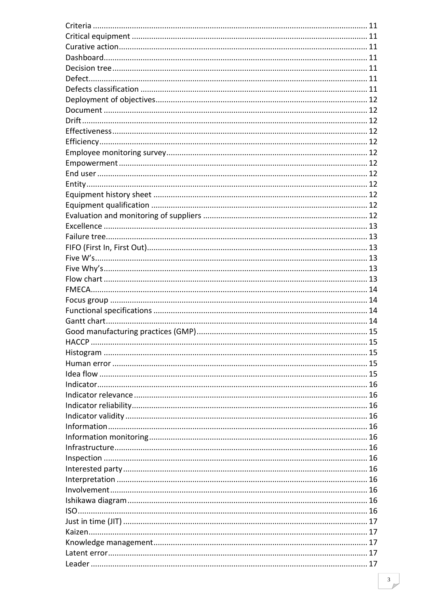| <b>HACCP</b> |  |
|--------------|--|
|              |  |
|              |  |
|              |  |
|              |  |
|              |  |
|              |  |
|              |  |
|              |  |
|              |  |
|              |  |
|              |  |
|              |  |
|              |  |
|              |  |
|              |  |
|              |  |
|              |  |
|              |  |
|              |  |
|              |  |
|              |  |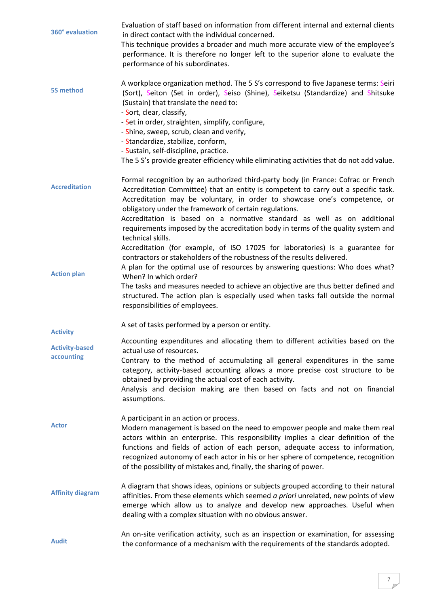<span id="page-6-8"></span><span id="page-6-7"></span><span id="page-6-6"></span><span id="page-6-5"></span><span id="page-6-4"></span><span id="page-6-3"></span><span id="page-6-2"></span><span id="page-6-1"></span><span id="page-6-0"></span>

| 360° evaluation                                        | Evaluation of staff based on information from different internal and external clients<br>in direct contact with the individual concerned.<br>This technique provides a broader and much more accurate view of the employee's<br>performance. It is therefore no longer left to the superior alone to evaluate the<br>performance of his subordinates.                                                                                                                                                                    |
|--------------------------------------------------------|--------------------------------------------------------------------------------------------------------------------------------------------------------------------------------------------------------------------------------------------------------------------------------------------------------------------------------------------------------------------------------------------------------------------------------------------------------------------------------------------------------------------------|
| <b>5S method</b>                                       | A workplace organization method. The 5 S's correspond to five Japanese terms: Seiri<br>(Sort), Seiton (Set in order), Seiso (Shine), Seiketsu (Standardize) and Shitsuke<br>(Sustain) that translate the need to:<br>- Sort, clear, classify,<br>- Set in order, straighten, simplify, configure,<br>- Shine, sweep, scrub, clean and verify,<br>- Standardize, stabilize, conform,<br>- Sustain, self-discipline, practice.<br>The 5 S's provide greater efficiency while eliminating activities that do not add value. |
| <b>Accreditation</b>                                   | Formal recognition by an authorized third-party body (in France: Cofrac or French<br>Accreditation Committee) that an entity is competent to carry out a specific task.<br>Accreditation may be voluntary, in order to showcase one's competence, or<br>obligatory under the framework of certain regulations.<br>Accreditation is based on a normative standard as well as on additional<br>requirements imposed by the accreditation body in terms of the quality system and<br>technical skills.                      |
| <b>Action plan</b>                                     | Accreditation (for example, of ISO 17025 for laboratories) is a guarantee for<br>contractors or stakeholders of the robustness of the results delivered.<br>A plan for the optimal use of resources by answering questions: Who does what?<br>When? In which order?<br>The tasks and measures needed to achieve an objective are thus better defined and<br>structured. The action plan is especially used when tasks fall outside the normal<br>responsibilities of employees.                                          |
| <b>Activity</b><br><b>Activity-based</b><br>accounting | A set of tasks performed by a person or entity.<br>Accounting expenditures and allocating them to different activities based on the<br>actual use of resources.<br>Contrary to the method of accumulating all general expenditures in the same<br>category, activity-based accounting allows a more precise cost structure to be<br>obtained by providing the actual cost of each activity.<br>Analysis and decision making are then based on facts and not on financial<br>assumptions.                                 |
| <b>Actor</b>                                           | A participant in an action or process.<br>Modern management is based on the need to empower people and make them real<br>actors within an enterprise. This responsibility implies a clear definition of the<br>functions and fields of action of each person, adequate access to information,<br>recognized autonomy of each actor in his or her sphere of competence, recognition<br>of the possibility of mistakes and, finally, the sharing of power.                                                                 |
| <b>Affinity diagram</b>                                | A diagram that shows ideas, opinions or subjects grouped according to their natural<br>affinities. From these elements which seemed a priori unrelated, new points of view<br>emerge which allow us to analyze and develop new approaches. Useful when<br>dealing with a complex situation with no obvious answer.                                                                                                                                                                                                       |
| <b>Audit</b>                                           | An on-site verification activity, such as an inspection or examination, for assessing<br>the conformance of a mechanism with the requirements of the standards adopted.                                                                                                                                                                                                                                                                                                                                                  |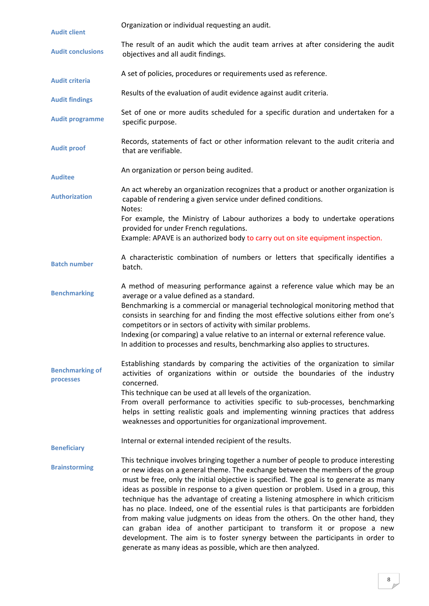<span id="page-7-12"></span><span id="page-7-11"></span><span id="page-7-10"></span><span id="page-7-9"></span><span id="page-7-8"></span><span id="page-7-7"></span><span id="page-7-6"></span><span id="page-7-5"></span><span id="page-7-4"></span><span id="page-7-3"></span><span id="page-7-2"></span><span id="page-7-1"></span><span id="page-7-0"></span>

| <b>Audit client</b>                 | Organization or individual requesting an audit.                                                                                                                                                                                                                                                                                                                                                                                                                                                                                                                                                                                                                                                                                                                                                                                                  |
|-------------------------------------|--------------------------------------------------------------------------------------------------------------------------------------------------------------------------------------------------------------------------------------------------------------------------------------------------------------------------------------------------------------------------------------------------------------------------------------------------------------------------------------------------------------------------------------------------------------------------------------------------------------------------------------------------------------------------------------------------------------------------------------------------------------------------------------------------------------------------------------------------|
| <b>Audit conclusions</b>            | The result of an audit which the audit team arrives at after considering the audit<br>objectives and all audit findings.                                                                                                                                                                                                                                                                                                                                                                                                                                                                                                                                                                                                                                                                                                                         |
| <b>Audit criteria</b>               | A set of policies, procedures or requirements used as reference.                                                                                                                                                                                                                                                                                                                                                                                                                                                                                                                                                                                                                                                                                                                                                                                 |
| <b>Audit findings</b>               | Results of the evaluation of audit evidence against audit criteria.                                                                                                                                                                                                                                                                                                                                                                                                                                                                                                                                                                                                                                                                                                                                                                              |
| <b>Audit programme</b>              | Set of one or more audits scheduled for a specific duration and undertaken for a<br>specific purpose.                                                                                                                                                                                                                                                                                                                                                                                                                                                                                                                                                                                                                                                                                                                                            |
| <b>Audit proof</b>                  | Records, statements of fact or other information relevant to the audit criteria and<br>that are verifiable.                                                                                                                                                                                                                                                                                                                                                                                                                                                                                                                                                                                                                                                                                                                                      |
| <b>Auditee</b>                      | An organization or person being audited.                                                                                                                                                                                                                                                                                                                                                                                                                                                                                                                                                                                                                                                                                                                                                                                                         |
| <b>Authorization</b>                | An act whereby an organization recognizes that a product or another organization is<br>capable of rendering a given service under defined conditions.<br>Notes:                                                                                                                                                                                                                                                                                                                                                                                                                                                                                                                                                                                                                                                                                  |
|                                     | For example, the Ministry of Labour authorizes a body to undertake operations<br>provided for under French regulations.<br>Example: APAVE is an authorized body to carry out on site equipment inspection.                                                                                                                                                                                                                                                                                                                                                                                                                                                                                                                                                                                                                                       |
| <b>Batch number</b>                 | A characteristic combination of numbers or letters that specifically identifies a<br>batch.                                                                                                                                                                                                                                                                                                                                                                                                                                                                                                                                                                                                                                                                                                                                                      |
| <b>Benchmarking</b>                 | A method of measuring performance against a reference value which may be an<br>average or a value defined as a standard.<br>Benchmarking is a commercial or managerial technological monitoring method that<br>consists in searching for and finding the most effective solutions either from one's<br>competitors or in sectors of activity with similar problems.<br>Indexing (or comparing) a value relative to an internal or external reference value.<br>In addition to processes and results, benchmarking also applies to structures.                                                                                                                                                                                                                                                                                                    |
| <b>Benchmarking of</b><br>processes | Establishing standards by comparing the activities of the organization to similar<br>activities of organizations within or outside the boundaries of the industry<br>concerned.<br>This technique can be used at all levels of the organization.<br>From overall performance to activities specific to sub-processes, benchmarking<br>helps in setting realistic goals and implementing winning practices that address<br>weaknesses and opportunities for organizational improvement.                                                                                                                                                                                                                                                                                                                                                           |
| <b>Beneficiary</b>                  | Internal or external intended recipient of the results.                                                                                                                                                                                                                                                                                                                                                                                                                                                                                                                                                                                                                                                                                                                                                                                          |
| <b>Brainstorming</b>                | This technique involves bringing together a number of people to produce interesting<br>or new ideas on a general theme. The exchange between the members of the group<br>must be free, only the initial objective is specified. The goal is to generate as many<br>ideas as possible in response to a given question or problem. Used in a group, this<br>technique has the advantage of creating a listening atmosphere in which criticism<br>has no place. Indeed, one of the essential rules is that participants are forbidden<br>from making value judgments on ideas from the others. On the other hand, they<br>can graban idea of another participant to transform it or propose a new<br>development. The aim is to foster synergy between the participants in order to<br>generate as many ideas as possible, which are then analyzed. |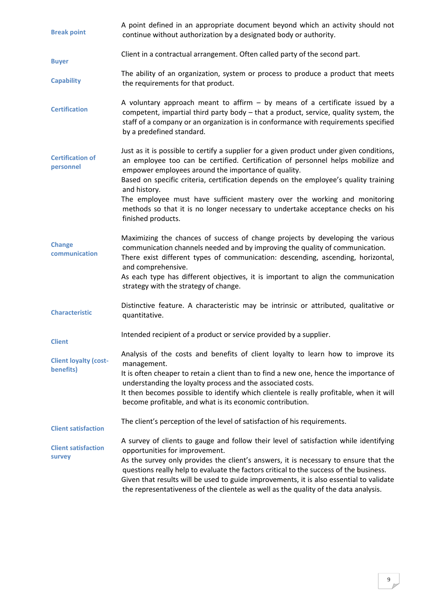<span id="page-8-10"></span><span id="page-8-9"></span><span id="page-8-8"></span><span id="page-8-7"></span><span id="page-8-6"></span><span id="page-8-5"></span><span id="page-8-4"></span><span id="page-8-3"></span><span id="page-8-2"></span><span id="page-8-1"></span><span id="page-8-0"></span>

| <b>Break point</b>                        | A point defined in an appropriate document beyond which an activity should not<br>continue without authorization by a designated body or authority.                                                                                                                                                                                                                                                                                                                                                                              |
|-------------------------------------------|----------------------------------------------------------------------------------------------------------------------------------------------------------------------------------------------------------------------------------------------------------------------------------------------------------------------------------------------------------------------------------------------------------------------------------------------------------------------------------------------------------------------------------|
| <b>Buyer</b>                              | Client in a contractual arrangement. Often called party of the second part.                                                                                                                                                                                                                                                                                                                                                                                                                                                      |
| <b>Capability</b>                         | The ability of an organization, system or process to produce a product that meets<br>the requirements for that product.                                                                                                                                                                                                                                                                                                                                                                                                          |
| <b>Certification</b>                      | A voluntary approach meant to affirm $-$ by means of a certificate issued by a<br>competent, impartial third party body - that a product, service, quality system, the<br>staff of a company or an organization is in conformance with requirements specified<br>by a predefined standard.                                                                                                                                                                                                                                       |
| <b>Certification of</b><br>personnel      | Just as it is possible to certify a supplier for a given product under given conditions,<br>an employee too can be certified. Certification of personnel helps mobilize and<br>empower employees around the importance of quality.<br>Based on specific criteria, certification depends on the employee's quality training<br>and history.<br>The employee must have sufficient mastery over the working and monitoring<br>methods so that it is no longer necessary to undertake acceptance checks on his<br>finished products. |
| <b>Change</b><br>communication            | Maximizing the chances of success of change projects by developing the various<br>communication channels needed and by improving the quality of communication.<br>There exist different types of communication: descending, ascending, horizontal,<br>and comprehensive.<br>As each type has different objectives, it is important to align the communication<br>strategy with the strategy of change.                                                                                                                           |
| <b>Characteristic</b>                     | Distinctive feature. A characteristic may be intrinsic or attributed, qualitative or<br>quantitative.                                                                                                                                                                                                                                                                                                                                                                                                                            |
| <b>Client</b>                             | Intended recipient of a product or service provided by a supplier.                                                                                                                                                                                                                                                                                                                                                                                                                                                               |
| <b>Client loyalty (cost-</b><br>benefits) | Analysis of the costs and benefits of client loyalty to learn how to improve its<br>management.<br>It is often cheaper to retain a client than to find a new one, hence the importance of<br>understanding the loyalty process and the associated costs.<br>It then becomes possible to identify which clientele is really profitable, when it will<br>become profitable, and what is its economic contribution.                                                                                                                 |
| <b>Client satisfaction</b>                | The client's perception of the level of satisfaction of his requirements.                                                                                                                                                                                                                                                                                                                                                                                                                                                        |
| <b>Client satisfaction</b><br>survey      | A survey of clients to gauge and follow their level of satisfaction while identifying<br>opportunities for improvement.<br>As the survey only provides the client's answers, it is necessary to ensure that the<br>questions really help to evaluate the factors critical to the success of the business.<br>Given that results will be used to guide improvements, it is also essential to validate<br>the representativeness of the clientele as well as the quality of the data analysis.                                     |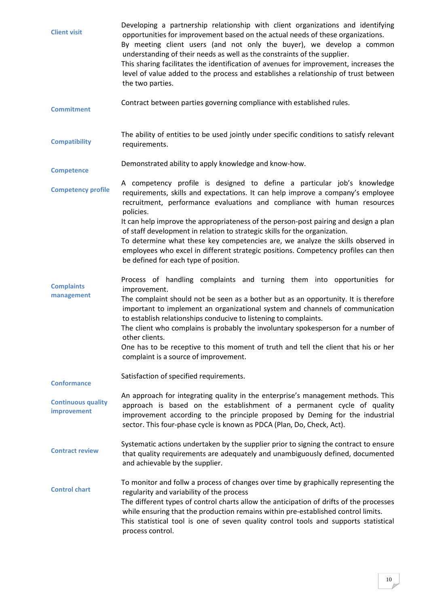<span id="page-9-9"></span><span id="page-9-8"></span><span id="page-9-7"></span><span id="page-9-6"></span><span id="page-9-5"></span><span id="page-9-4"></span><span id="page-9-3"></span><span id="page-9-2"></span><span id="page-9-1"></span><span id="page-9-0"></span>

| <b>Client visit</b>                      | Developing a partnership relationship with client organizations and identifying<br>opportunities for improvement based on the actual needs of these organizations.<br>By meeting client users (and not only the buyer), we develop a common<br>understanding of their needs as well as the constraints of the supplier.<br>This sharing facilitates the identification of avenues for improvement, increases the<br>level of value added to the process and establishes a relationship of trust between<br>the two parties.                                               |
|------------------------------------------|---------------------------------------------------------------------------------------------------------------------------------------------------------------------------------------------------------------------------------------------------------------------------------------------------------------------------------------------------------------------------------------------------------------------------------------------------------------------------------------------------------------------------------------------------------------------------|
| <b>Commitment</b>                        | Contract between parties governing compliance with established rules.                                                                                                                                                                                                                                                                                                                                                                                                                                                                                                     |
| <b>Compatibility</b>                     | The ability of entities to be used jointly under specific conditions to satisfy relevant<br>requirements.                                                                                                                                                                                                                                                                                                                                                                                                                                                                 |
| <b>Competence</b>                        | Demonstrated ability to apply knowledge and know-how.                                                                                                                                                                                                                                                                                                                                                                                                                                                                                                                     |
| <b>Competency profile</b>                | A competency profile is designed to define a particular job's knowledge<br>requirements, skills and expectations. It can help improve a company's employee<br>recruitment, performance evaluations and compliance with human resources<br>policies.                                                                                                                                                                                                                                                                                                                       |
|                                          | It can help improve the appropriateness of the person-post pairing and design a plan<br>of staff development in relation to strategic skills for the organization.<br>To determine what these key competencies are, we analyze the skills observed in<br>employees who excel in different strategic positions. Competency profiles can then<br>be defined for each type of position.                                                                                                                                                                                      |
| <b>Complaints</b><br>management          | Process of handling complaints and turning them into opportunities for<br>improvement.<br>The complaint should not be seen as a bother but as an opportunity. It is therefore<br>important to implement an organizational system and channels of communication<br>to establish relationships conducive to listening to complaints.<br>The client who complains is probably the involuntary spokesperson for a number of<br>other clients.<br>One has to be receptive to this moment of truth and tell the client that his or her<br>complaint is a source of improvement. |
| <b>Conformance</b>                       | Satisfaction of specified requirements.                                                                                                                                                                                                                                                                                                                                                                                                                                                                                                                                   |
| <b>Continuous quality</b><br>improvement | An approach for integrating quality in the enterprise's management methods. This<br>approach is based on the establishment of a permanent cycle of quality<br>improvement according to the principle proposed by Deming for the industrial<br>sector. This four-phase cycle is known as PDCA (Plan, Do, Check, Act).                                                                                                                                                                                                                                                      |
| <b>Contract review</b>                   | Systematic actions undertaken by the supplier prior to signing the contract to ensure<br>that quality requirements are adequately and unambiguously defined, documented<br>and achievable by the supplier.                                                                                                                                                                                                                                                                                                                                                                |
| <b>Control chart</b>                     | To monitor and follw a process of changes over time by graphically representing the<br>regularity and variability of the process<br>The different types of control charts allow the anticipation of drifts of the processes<br>while ensuring that the production remains within pre-established control limits.<br>This statistical tool is one of seven quality control tools and supports statistical<br>process control.                                                                                                                                              |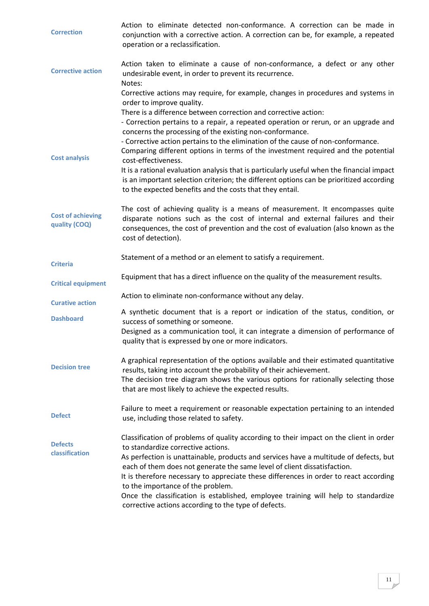<span id="page-10-10"></span><span id="page-10-9"></span><span id="page-10-8"></span><span id="page-10-7"></span><span id="page-10-6"></span><span id="page-10-5"></span><span id="page-10-4"></span><span id="page-10-3"></span><span id="page-10-2"></span><span id="page-10-1"></span><span id="page-10-0"></span>

| <b>Correction</b>                         | Action to eliminate detected non-conformance. A correction can be made in<br>conjunction with a corrective action. A correction can be, for example, a repeated<br>operation or a reclassification.                                                                                                       |
|-------------------------------------------|-----------------------------------------------------------------------------------------------------------------------------------------------------------------------------------------------------------------------------------------------------------------------------------------------------------|
| <b>Corrective action</b>                  | Action taken to eliminate a cause of non-conformance, a defect or any other<br>undesirable event, in order to prevent its recurrence.<br>Notes:                                                                                                                                                           |
|                                           | Corrective actions may require, for example, changes in procedures and systems in<br>order to improve quality.                                                                                                                                                                                            |
|                                           | There is a difference between correction and corrective action:<br>- Correction pertains to a repair, a repeated operation or rerun, or an upgrade and<br>concerns the processing of the existing non-conformance.                                                                                        |
| <b>Cost analysis</b>                      | - Corrective action pertains to the elimination of the cause of non-conformance.<br>Comparing different options in terms of the investment required and the potential<br>cost-effectiveness.                                                                                                              |
|                                           | It is a rational evaluation analysis that is particularly useful when the financial impact<br>is an important selection criterion; the different options can be prioritized according<br>to the expected benefits and the costs that they entail.                                                         |
| <b>Cost of achieving</b><br>quality (COQ) | The cost of achieving quality is a means of measurement. It encompasses quite<br>disparate notions such as the cost of internal and external failures and their<br>consequences, the cost of prevention and the cost of evaluation (also known as the<br>cost of detection).                              |
| <b>Criteria</b>                           | Statement of a method or an element to satisfy a requirement.                                                                                                                                                                                                                                             |
| <b>Critical equipment</b>                 | Equipment that has a direct influence on the quality of the measurement results.                                                                                                                                                                                                                          |
| <b>Curative action</b>                    | Action to eliminate non-conformance without any delay.                                                                                                                                                                                                                                                    |
| <b>Dashboard</b>                          | A synthetic document that is a report or indication of the status, condition, or<br>success of something or someone.                                                                                                                                                                                      |
|                                           | Designed as a communication tool, it can integrate a dimension of performance of<br>quality that is expressed by one or more indicators.                                                                                                                                                                  |
| <b>Decision tree</b>                      | A graphical representation of the options available and their estimated quantitative<br>results, taking into account the probability of their achievement.<br>The decision tree diagram shows the various options for rationally selecting those<br>that are most likely to achieve the expected results. |
| <b>Defect</b>                             | Failure to meet a requirement or reasonable expectation pertaining to an intended<br>use, including those related to safety.                                                                                                                                                                              |
| <b>Defects</b><br>classification          | Classification of problems of quality according to their impact on the client in order<br>to standardize corrective actions.                                                                                                                                                                              |
|                                           | As perfection is unattainable, products and services have a multitude of defects, but<br>each of them does not generate the same level of client dissatisfaction.                                                                                                                                         |
|                                           | It is therefore necessary to appreciate these differences in order to react according<br>to the importance of the problem.                                                                                                                                                                                |
|                                           | Once the classification is established, employee training will help to standardize                                                                                                                                                                                                                        |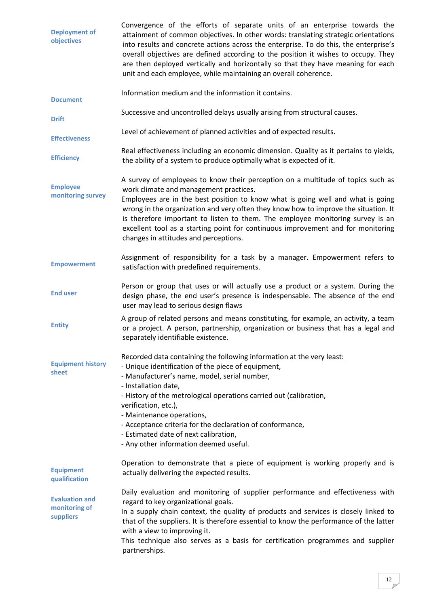<span id="page-11-11"></span><span id="page-11-10"></span><span id="page-11-9"></span><span id="page-11-8"></span><span id="page-11-7"></span><span id="page-11-6"></span><span id="page-11-5"></span><span id="page-11-4"></span><span id="page-11-3"></span><span id="page-11-2"></span><span id="page-11-1"></span><span id="page-11-0"></span>

| <b>Deployment of</b><br>objectives                  | Convergence of the efforts of separate units of an enterprise towards the<br>attainment of common objectives. In other words: translating strategic orientations<br>into results and concrete actions across the enterprise. To do this, the enterprise's<br>overall objectives are defined according to the position it wishes to occupy. They<br>are then deployed vertically and horizontally so that they have meaning for each<br>unit and each employee, while maintaining an overall coherence.             |
|-----------------------------------------------------|--------------------------------------------------------------------------------------------------------------------------------------------------------------------------------------------------------------------------------------------------------------------------------------------------------------------------------------------------------------------------------------------------------------------------------------------------------------------------------------------------------------------|
| <b>Document</b>                                     | Information medium and the information it contains.                                                                                                                                                                                                                                                                                                                                                                                                                                                                |
| <b>Drift</b>                                        | Successive and uncontrolled delays usually arising from structural causes.                                                                                                                                                                                                                                                                                                                                                                                                                                         |
| <b>Effectiveness</b>                                | Level of achievement of planned activities and of expected results.                                                                                                                                                                                                                                                                                                                                                                                                                                                |
| <b>Efficiency</b>                                   | Real effectiveness including an economic dimension. Quality as it pertains to yields,<br>the ability of a system to produce optimally what is expected of it.                                                                                                                                                                                                                                                                                                                                                      |
| <b>Employee</b><br>monitoring survey                | A survey of employees to know their perception on a multitude of topics such as<br>work climate and management practices.<br>Employees are in the best position to know what is going well and what is going<br>wrong in the organization and very often they know how to improve the situation. It<br>is therefore important to listen to them. The employee monitoring survey is an<br>excellent tool as a starting point for continuous improvement and for monitoring<br>changes in attitudes and perceptions. |
| <b>Empowerment</b>                                  | Assignment of responsibility for a task by a manager. Empowerment refers to<br>satisfaction with predefined requirements.                                                                                                                                                                                                                                                                                                                                                                                          |
| <b>End user</b>                                     | Person or group that uses or will actually use a product or a system. During the<br>design phase, the end user's presence is indespensable. The absence of the end<br>user may lead to serious design flaws                                                                                                                                                                                                                                                                                                        |
| <b>Entity</b>                                       | A group of related persons and means constituting, for example, an activity, a team<br>or a project. A person, partnership, organization or business that has a legal and<br>separately identifiable existence.                                                                                                                                                                                                                                                                                                    |
| <b>Equipment history</b><br>sheet                   | Recorded data containing the following information at the very least:<br>- Unique identification of the piece of equipment,<br>- Manufacturer's name, model, serial number,<br>- Installation date,<br>- History of the metrological operations carried out (calibration,<br>verification, etc.),<br>- Maintenance operations,<br>- Acceptance criteria for the declaration of conformance,<br>- Estimated date of next calibration,<br>- Any other information deemed useful.                                     |
| <b>Equipment</b><br>qualification                   | Operation to demonstrate that a piece of equipment is working properly and is<br>actually delivering the expected results.                                                                                                                                                                                                                                                                                                                                                                                         |
| <b>Evaluation and</b><br>monitoring of<br>suppliers | Daily evaluation and monitoring of supplier performance and effectiveness with<br>regard to key organizational goals.<br>In a supply chain context, the quality of products and services is closely linked to<br>that of the suppliers. It is therefore essential to know the performance of the latter<br>with a view to improving it.<br>This technique also serves as a basis for certification programmes and supplier<br>partnerships.                                                                        |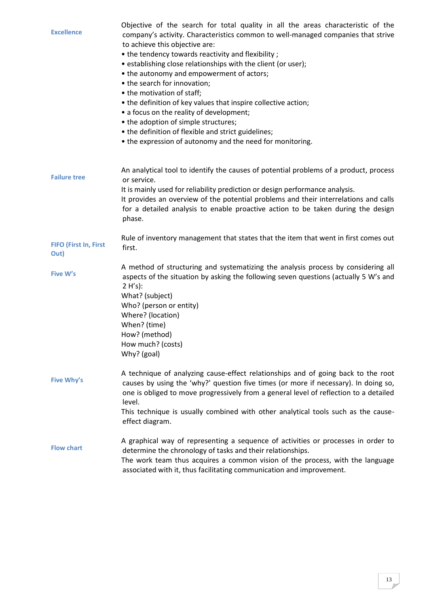<span id="page-12-5"></span><span id="page-12-4"></span><span id="page-12-3"></span><span id="page-12-2"></span><span id="page-12-1"></span><span id="page-12-0"></span>

| <b>Excellence</b>             | Objective of the search for total quality in all the areas characteristic of the<br>company's activity. Characteristics common to well-managed companies that strive<br>to achieve this objective are:<br>• the tendency towards reactivity and flexibility;<br>• establishing close relationships with the client (or user);<br>• the autonomy and empowerment of actors;<br>• the search for innovation;<br>• the motivation of staff;<br>• the definition of key values that inspire collective action;<br>• a focus on the reality of development;<br>• the adoption of simple structures;<br>• the definition of flexible and strict guidelines;<br>• the expression of autonomy and the need for monitoring. |
|-------------------------------|--------------------------------------------------------------------------------------------------------------------------------------------------------------------------------------------------------------------------------------------------------------------------------------------------------------------------------------------------------------------------------------------------------------------------------------------------------------------------------------------------------------------------------------------------------------------------------------------------------------------------------------------------------------------------------------------------------------------|
| <b>Failure tree</b>           | An analytical tool to identify the causes of potential problems of a product, process<br>or service.<br>It is mainly used for reliability prediction or design performance analysis.<br>It provides an overview of the potential problems and their interrelations and calls<br>for a detailed analysis to enable proactive action to be taken during the design<br>phase.                                                                                                                                                                                                                                                                                                                                         |
| FIFO (First In, First<br>Out) | Rule of inventory management that states that the item that went in first comes out<br>first.                                                                                                                                                                                                                                                                                                                                                                                                                                                                                                                                                                                                                      |
| Five W's                      | A method of structuring and systematizing the analysis process by considering all<br>aspects of the situation by asking the following seven questions (actually 5 W's and<br>$2 H's$ :<br>What? (subject)<br>Who? (person or entity)<br>Where? (location)<br>When? (time)<br>How? (method)<br>How much? (costs)<br>Why? (goal)                                                                                                                                                                                                                                                                                                                                                                                     |
| <b>Five Why's</b>             | A technique of analyzing cause-effect relationships and of going back to the root<br>causes by using the 'why?' question five times (or more if necessary). In doing so,<br>one is obliged to move progressively from a general level of reflection to a detailed<br>level.<br>This technique is usually combined with other analytical tools such as the cause-<br>effect diagram.                                                                                                                                                                                                                                                                                                                                |
| <b>Flow chart</b>             | A graphical way of representing a sequence of activities or processes in order to<br>determine the chronology of tasks and their relationships.<br>The work team thus acquires a common vision of the process, with the language<br>associated with it, thus facilitating communication and improvement.                                                                                                                                                                                                                                                                                                                                                                                                           |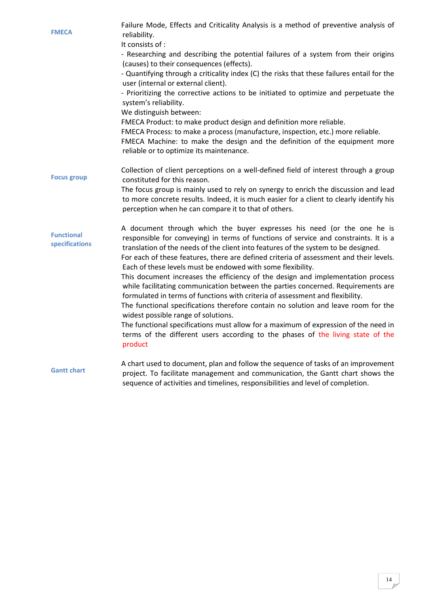<span id="page-13-3"></span><span id="page-13-2"></span><span id="page-13-1"></span><span id="page-13-0"></span>

| <b>FMECA</b>                        | Failure Mode, Effects and Criticality Analysis is a method of preventive analysis of<br>reliability.<br>It consists of :<br>- Researching and describing the potential failures of a system from their origins<br>(causes) to their consequences (effects).<br>- Quantifying through a criticality index (C) the risks that these failures entail for the<br>user (internal or external client).<br>- Prioritizing the corrective actions to be initiated to optimize and perpetuate the<br>system's reliability.<br>We distinguish between:<br>FMECA Product: to make product design and definition more reliable.<br>FMECA Process: to make a process (manufacture, inspection, etc.) more reliable.<br>FMECA Machine: to make the design and the definition of the equipment more<br>reliable or to optimize its maintenance.                                                                                                                                                         |
|-------------------------------------|------------------------------------------------------------------------------------------------------------------------------------------------------------------------------------------------------------------------------------------------------------------------------------------------------------------------------------------------------------------------------------------------------------------------------------------------------------------------------------------------------------------------------------------------------------------------------------------------------------------------------------------------------------------------------------------------------------------------------------------------------------------------------------------------------------------------------------------------------------------------------------------------------------------------------------------------------------------------------------------|
| <b>Focus group</b>                  | Collection of client perceptions on a well-defined field of interest through a group<br>constituted for this reason.<br>The focus group is mainly used to rely on synergy to enrich the discussion and lead<br>to more concrete results. Indeed, it is much easier for a client to clearly identify his<br>perception when he can compare it to that of others.                                                                                                                                                                                                                                                                                                                                                                                                                                                                                                                                                                                                                          |
| <b>Functional</b><br>specifications | A document through which the buyer expresses his need (or the one he is<br>responsible for conveying) in terms of functions of service and constraints. It is a<br>translation of the needs of the client into features of the system to be designed.<br>For each of these features, there are defined criteria of assessment and their levels.<br>Each of these levels must be endowed with some flexibility.<br>This document increases the efficiency of the design and implementation process<br>while facilitating communication between the parties concerned. Requirements are<br>formulated in terms of functions with criteria of assessment and flexibility.<br>The functional specifications therefore contain no solution and leave room for the<br>widest possible range of solutions.<br>The functional specifications must allow for a maximum of expression of the need in<br>terms of the different users according to the phases of the living state of the<br>product |
| <b>Gantt chart</b>                  | A chart used to document, plan and follow the sequence of tasks of an improvement<br>project. To facilitate management and communication, the Gantt chart shows the<br>sequence of activities and timelines, responsibilities and level of completion.                                                                                                                                                                                                                                                                                                                                                                                                                                                                                                                                                                                                                                                                                                                                   |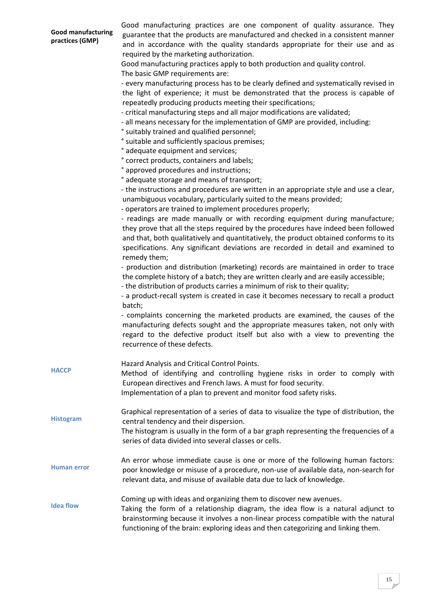<span id="page-14-4"></span><span id="page-14-3"></span><span id="page-14-2"></span><span id="page-14-1"></span><span id="page-14-0"></span>

| <b>Good manufacturing</b><br>practices (GMP) | Good manufacturing practices are one component of quality assurance. They<br>guarantee that the products are manufactured and checked in a consistent manner<br>and in accordance with the quality standards appropriate for their use and as<br>required by the marketing authorization.<br>Good manufacturing practices apply to both production and quality control.<br>The basic GMP requirements are:<br>- every manufacturing process has to be clearly defined and systematically revised in<br>the light of experience; it must be demonstrated that the process is capable of<br>repeatedly producing products meeting their specifications;<br>- critical manufacturing steps and all major modifications are validated;<br>- all means necessary for the implementation of GMP are provided, including:<br>° suitably trained and qualified personnel;<br>° suitable and sufficiently spacious premises;<br>° adequate equipment and services;<br>° correct products, containers and labels;<br>° approved procedures and instructions;<br>° adequate storage and means of transport;<br>- the instructions and procedures are written in an appropriate style and use a clear,<br>unambiguous vocabulary, particularly suited to the means provided;<br>- operators are trained to implement procedures properly;<br>- readings are made manually or with recording equipment during manufacture; |
|----------------------------------------------|---------------------------------------------------------------------------------------------------------------------------------------------------------------------------------------------------------------------------------------------------------------------------------------------------------------------------------------------------------------------------------------------------------------------------------------------------------------------------------------------------------------------------------------------------------------------------------------------------------------------------------------------------------------------------------------------------------------------------------------------------------------------------------------------------------------------------------------------------------------------------------------------------------------------------------------------------------------------------------------------------------------------------------------------------------------------------------------------------------------------------------------------------------------------------------------------------------------------------------------------------------------------------------------------------------------------------------------------------------------------------------------------------------------|
|                                              | they prove that all the steps required by the procedures have indeed been followed<br>and that, both qualitatively and quantitatively, the product obtained conforms to its<br>specifications. Any significant deviations are recorded in detail and examined to<br>remedy them;<br>- production and distribution (marketing) records are maintained in order to trace<br>the complete history of a batch; they are written clearly and are easily accessible;<br>- the distribution of products carries a minimum of risk to their quality;<br>- a product-recall system is created in case it becomes necessary to recall a product<br>batch;                                                                                                                                                                                                                                                                                                                                                                                                                                                                                                                                                                                                                                                                                                                                                               |
|                                              | - complaints concerning the marketed products are examined, the causes of the<br>manufacturing defects sought and the appropriate measures taken, not only with<br>regard to the defective product itself but also with a view to preventing the<br>recurrence of these defects.                                                                                                                                                                                                                                                                                                                                                                                                                                                                                                                                                                                                                                                                                                                                                                                                                                                                                                                                                                                                                                                                                                                              |
| <b>HACCP</b>                                 | Hazard Analysis and Critical Control Points.<br>Method of identifying and controlling hygiene risks in order to comply with<br>European directives and French laws. A must for food security.<br>Implementation of a plan to prevent and monitor food safety risks.                                                                                                                                                                                                                                                                                                                                                                                                                                                                                                                                                                                                                                                                                                                                                                                                                                                                                                                                                                                                                                                                                                                                           |
| <b>Histogram</b>                             | Graphical representation of a series of data to visualize the type of distribution, the<br>central tendency and their dispersion.<br>The histogram is usually in the form of a bar graph representing the frequencies of a<br>series of data divided into several classes or cells.                                                                                                                                                                                                                                                                                                                                                                                                                                                                                                                                                                                                                                                                                                                                                                                                                                                                                                                                                                                                                                                                                                                           |
| <b>Human error</b>                           | An error whose immediate cause is one or more of the following human factors:<br>poor knowledge or misuse of a procedure, non-use of available data, non-search for<br>relevant data, and misuse of available data due to lack of knowledge.                                                                                                                                                                                                                                                                                                                                                                                                                                                                                                                                                                                                                                                                                                                                                                                                                                                                                                                                                                                                                                                                                                                                                                  |
| <b>Idea flow</b>                             | Coming up with ideas and organizing them to discover new avenues.<br>Taking the form of a relationship diagram, the idea flow is a natural adjunct to<br>brainstorming because it involves a non-linear process compatible with the natural<br>functioning of the brain: exploring ideas and then categorizing and linking them.                                                                                                                                                                                                                                                                                                                                                                                                                                                                                                                                                                                                                                                                                                                                                                                                                                                                                                                                                                                                                                                                              |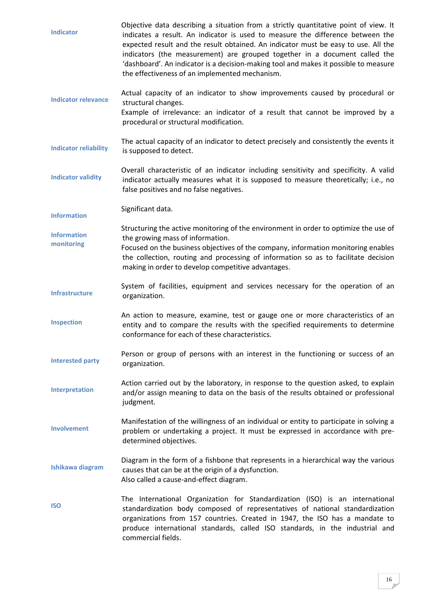<span id="page-15-12"></span><span id="page-15-11"></span><span id="page-15-10"></span><span id="page-15-9"></span><span id="page-15-8"></span><span id="page-15-7"></span><span id="page-15-6"></span><span id="page-15-5"></span><span id="page-15-4"></span><span id="page-15-3"></span><span id="page-15-2"></span><span id="page-15-1"></span><span id="page-15-0"></span>**Indicator** Objective data describing a situation from a strictly quantitative point of view. It indicates a result. An indicator is used to measure the difference between the expected result and the result obtained. An indicator must be easy to use. All the indicators (the measurement) are grouped together in a document called the 'dashboard'. An indicator is a decision-making tool and makes it possible to measure the effectiveness of an implemented mechanism. **Indicator relevance**  Actual capacity of an indicator to show improvements caused by procedural or structural changes. Example of irrelevance: an indicator of a result that cannot be improved by a procedural or structural modification. **Indicator reliability**  The actual capacity of an indicator to detect precisely and consistently the events it is supposed to detect. **Indicator validity**  Overall characteristic of an indicator including sensitivity and specificity. A valid indicator actually measures what it is supposed to measure theoretically; i.e., no false positives and no false negatives. **Information** Significant data. **Information monitoring** Structuring the active monitoring of the environment in order to optimize the use of the growing mass of information. Focused on the business objectives of the company, information monitoring enables the collection, routing and processing of information so as to facilitate decision making in order to develop competitive advantages. **Infrastructure** System of facilities, equipment and services necessary for the operation of an organization. **Inspection** An action to measure, examine, test or gauge one or more characteristics of an entity and to compare the results with the specified requirements to determine conformance for each of these characteristics. **Interested party** Person or group of persons with an interest in the functioning or success of an organization. **[Interpretation](#page-15-9)** Action carried out by the laboratory, in response to the question asked, to explain and/or assign meaning to data on the basis of the results obtained or professional judgment. **Involvement** Manifestation of the willingness of an individual or entity to participate in solving a problem or undertaking a project. It must be expressed in accordance with predetermined objectives. **Ishikawa diagram** Diagram in the form of a fishbone that represents in a hierarchical way the various causes that can be at the origin of a dysfunction. Also called a cause-and-effect diagram. **ISO** The International Organization for Standardization (ISO) is an international standardization body composed of representatives of national standardization organizations from 157 countries. Created in 1947, the ISO has a mandate to produce international standards, called ISO standards, in the industrial and commercial fields.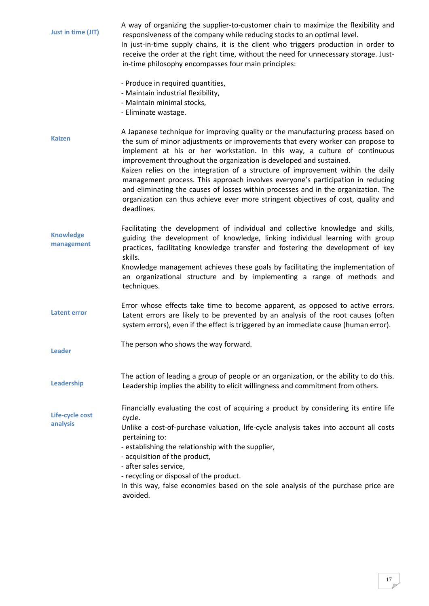<span id="page-16-6"></span><span id="page-16-5"></span><span id="page-16-4"></span><span id="page-16-3"></span><span id="page-16-2"></span><span id="page-16-1"></span><span id="page-16-0"></span>

| Just in time (JIT)             | A way of organizing the supplier-to-customer chain to maximize the flexibility and<br>responsiveness of the company while reducing stocks to an optimal level.<br>In just-in-time supply chains, it is the client who triggers production in order to<br>receive the order at the right time, without the need for unnecessary storage. Just-<br>in-time philosophy encompasses four main principles:                                                                                                                                                                                                                                                                                |
|--------------------------------|--------------------------------------------------------------------------------------------------------------------------------------------------------------------------------------------------------------------------------------------------------------------------------------------------------------------------------------------------------------------------------------------------------------------------------------------------------------------------------------------------------------------------------------------------------------------------------------------------------------------------------------------------------------------------------------|
|                                | - Produce in required quantities,<br>- Maintain industrial flexibility,<br>- Maintain minimal stocks,<br>- Eliminate wastage.                                                                                                                                                                                                                                                                                                                                                                                                                                                                                                                                                        |
| <b>Kaizen</b>                  | A Japanese technique for improving quality or the manufacturing process based on<br>the sum of minor adjustments or improvements that every worker can propose to<br>implement at his or her workstation. In this way, a culture of continuous<br>improvement throughout the organization is developed and sustained.<br>Kaizen relies on the integration of a structure of improvement within the daily<br>management process. This approach involves everyone's participation in reducing<br>and eliminating the causes of losses within processes and in the organization. The<br>organization can thus achieve ever more stringent objectives of cost, quality and<br>deadlines. |
| <b>Knowledge</b><br>management | Facilitating the development of individual and collective knowledge and skills,<br>guiding the development of knowledge, linking individual learning with group<br>practices, facilitating knowledge transfer and fostering the development of key<br>skills.<br>Knowledge management achieves these goals by facilitating the implementation of<br>an organizational structure and by implementing a range of methods and<br>techniques.                                                                                                                                                                                                                                            |
| <b>Latent error</b>            | Error whose effects take time to become apparent, as opposed to active errors.<br>Latent errors are likely to be prevented by an analysis of the root causes (often<br>system errors), even if the effect is triggered by an immediate cause (human error).                                                                                                                                                                                                                                                                                                                                                                                                                          |
| <b>Leader</b>                  | The person who shows the way forward.                                                                                                                                                                                                                                                                                                                                                                                                                                                                                                                                                                                                                                                |
| Leadership                     | The action of leading a group of people or an organization, or the ability to do this.<br>Leadership implies the ability to elicit willingness and commitment from others.                                                                                                                                                                                                                                                                                                                                                                                                                                                                                                           |
| Life-cycle cost<br>analysis    | Financially evaluating the cost of acquiring a product by considering its entire life<br>cycle.<br>Unlike a cost-of-purchase valuation, life-cycle analysis takes into account all costs<br>pertaining to:<br>- establishing the relationship with the supplier,<br>- acquisition of the product,<br>- after sales service,<br>- recycling or disposal of the product.<br>In this way, false economies based on the sole analysis of the purchase price are<br>avoided.                                                                                                                                                                                                              |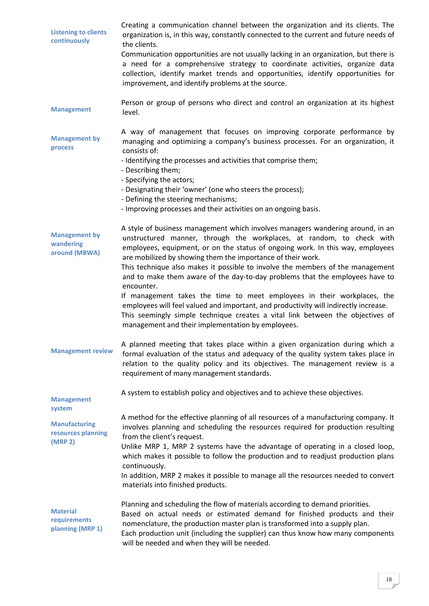<span id="page-17-7"></span><span id="page-17-6"></span><span id="page-17-5"></span><span id="page-17-4"></span><span id="page-17-3"></span><span id="page-17-2"></span><span id="page-17-1"></span><span id="page-17-0"></span>

| <b>Listening to clients</b><br>continuously         | Creating a communication channel between the organization and its clients. The<br>organization is, in this way, constantly connected to the current and future needs of<br>the clients.<br>Communication opportunities are not usually lacking in an organization, but there is<br>a need for a comprehensive strategy to coordinate activities, organize data<br>collection, identify market trends and opportunities, identify opportunities for<br>improvement, and identify problems at the source. |
|-----------------------------------------------------|---------------------------------------------------------------------------------------------------------------------------------------------------------------------------------------------------------------------------------------------------------------------------------------------------------------------------------------------------------------------------------------------------------------------------------------------------------------------------------------------------------|
| <b>Management</b>                                   | Person or group of persons who direct and control an organization at its highest<br>level.                                                                                                                                                                                                                                                                                                                                                                                                              |
| <b>Management by</b><br>process                     | A way of management that focuses on improving corporate performance by<br>managing and optimizing a company's business processes. For an organization, it<br>consists of:                                                                                                                                                                                                                                                                                                                               |
|                                                     | - Identifying the processes and activities that comprise them;<br>- Describing them;<br>- Specifying the actors;                                                                                                                                                                                                                                                                                                                                                                                        |
|                                                     | - Designating their 'owner' (one who steers the process);<br>- Defining the steering mechanisms;                                                                                                                                                                                                                                                                                                                                                                                                        |
|                                                     | - Improving processes and their activities on an ongoing basis.                                                                                                                                                                                                                                                                                                                                                                                                                                         |
| <b>Management by</b><br>wandering<br>around (MBWA)  | A style of business management which involves managers wandering around, in an<br>unstructured manner, through the workplaces, at random, to check with<br>employees, equipment, or on the status of ongoing work. In this way, employees<br>are mobilized by showing them the importance of their work.<br>This technique also makes it possible to involve the members of the management                                                                                                              |
|                                                     | and to make them aware of the day-to-day problems that the employees have to<br>encounter.                                                                                                                                                                                                                                                                                                                                                                                                              |
|                                                     | If management takes the time to meet employees in their workplaces, the<br>employees will feel valued and important, and productivity will indirectly increase.<br>This seemingly simple technique creates a vital link between the objectives of<br>management and their implementation by employees.                                                                                                                                                                                                  |
| <b>Management review</b>                            | A planned meeting that takes place within a given organization during which a<br>formal evaluation of the status and adequacy of the quality system takes place in<br>relation to the quality policy and its objectives. The management review is a<br>requirement of many management standards.                                                                                                                                                                                                        |
| <b>Management</b><br>system                         | A system to establish policy and objectives and to achieve these objectives.                                                                                                                                                                                                                                                                                                                                                                                                                            |
| <b>Manufacturing</b><br>resources planning          | A method for the effective planning of all resources of a manufacturing company. It<br>involves planning and scheduling the resources required for production resulting<br>from the client's request.                                                                                                                                                                                                                                                                                                   |
| (MRP <sub>2</sub> )                                 | Unlike MRP 1, MRP 2 systems have the advantage of operating in a closed loop,<br>which makes it possible to follow the production and to readjust production plans<br>continuously.                                                                                                                                                                                                                                                                                                                     |
|                                                     | In addition, MRP 2 makes it possible to manage all the resources needed to convert<br>materials into finished products.                                                                                                                                                                                                                                                                                                                                                                                 |
| <b>Material</b><br>requirements<br>planning (MRP 1) | Planning and scheduling the flow of materials according to demand priorities.<br>Based on actual needs or estimated demand for finished products and their<br>nomenclature, the production master plan is transformed into a supply plan.<br>Each production unit (including the supplier) can thus know how many components<br>will be needed and when they will be needed.                                                                                                                            |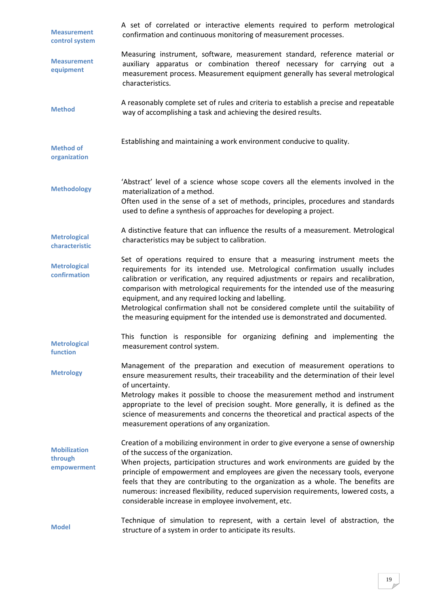<span id="page-18-10"></span><span id="page-18-9"></span><span id="page-18-8"></span><span id="page-18-7"></span><span id="page-18-6"></span><span id="page-18-5"></span><span id="page-18-4"></span><span id="page-18-3"></span><span id="page-18-2"></span><span id="page-18-1"></span><span id="page-18-0"></span>

| <b>Measurement</b><br>control system          | A set of correlated or interactive elements required to perform metrological<br>confirmation and continuous monitoring of measurement processes.                                                                                                                                                                                                                                                                                                                                                                                                                   |
|-----------------------------------------------|--------------------------------------------------------------------------------------------------------------------------------------------------------------------------------------------------------------------------------------------------------------------------------------------------------------------------------------------------------------------------------------------------------------------------------------------------------------------------------------------------------------------------------------------------------------------|
| <b>Measurement</b><br>equipment               | Measuring instrument, software, measurement standard, reference material or<br>auxiliary apparatus or combination thereof necessary for carrying out a<br>measurement process. Measurement equipment generally has several metrological<br>characteristics.                                                                                                                                                                                                                                                                                                        |
| <b>Method</b>                                 | A reasonably complete set of rules and criteria to establish a precise and repeatable<br>way of accomplishing a task and achieving the desired results.                                                                                                                                                                                                                                                                                                                                                                                                            |
| <b>Method of</b><br>organization              | Establishing and maintaining a work environment conducive to quality.                                                                                                                                                                                                                                                                                                                                                                                                                                                                                              |
| <b>Methodology</b>                            | 'Abstract' level of a science whose scope covers all the elements involved in the<br>materialization of a method.<br>Often used in the sense of a set of methods, principles, procedures and standards<br>used to define a synthesis of approaches for developing a project.                                                                                                                                                                                                                                                                                       |
| <b>Metrological</b><br>characteristic         | A distinctive feature that can influence the results of a measurement. Metrological<br>characteristics may be subject to calibration.                                                                                                                                                                                                                                                                                                                                                                                                                              |
| <b>Metrological</b><br>confirmation           | Set of operations required to ensure that a measuring instrument meets the<br>requirements for its intended use. Metrological confirmation usually includes<br>calibration or verification, any required adjustments or repairs and recalibration,<br>comparison with metrological requirements for the intended use of the measuring<br>equipment, and any required locking and labelling.<br>Metrological confirmation shall not be considered complete until the suitability of<br>the measuring equipment for the intended use is demonstrated and documented. |
| <b>Metrological</b><br>function               | This function is responsible for organizing defining and implementing the<br>measurement control system.                                                                                                                                                                                                                                                                                                                                                                                                                                                           |
| <b>Metrology</b>                              | Management of the preparation and execution of measurement operations to<br>ensure measurement results, their traceability and the determination of their level<br>of uncertainty.<br>Metrology makes it possible to choose the measurement method and instrument<br>appropriate to the level of precision sought. More generally, it is defined as the<br>science of measurements and concerns the theoretical and practical aspects of the<br>measurement operations of any organization.                                                                        |
| <b>Mobilization</b><br>through<br>empowerment | Creation of a mobilizing environment in order to give everyone a sense of ownership<br>of the success of the organization.<br>When projects, participation structures and work environments are guided by the<br>principle of empowerment and employees are given the necessary tools, everyone<br>feels that they are contributing to the organization as a whole. The benefits are<br>numerous: increased flexibility, reduced supervision requirements, lowered costs, a<br>considerable increase in employee involvement, etc.                                 |
| <b>Model</b>                                  | Technique of simulation to represent, with a certain level of abstraction, the<br>structure of a system in order to anticipate its results.                                                                                                                                                                                                                                                                                                                                                                                                                        |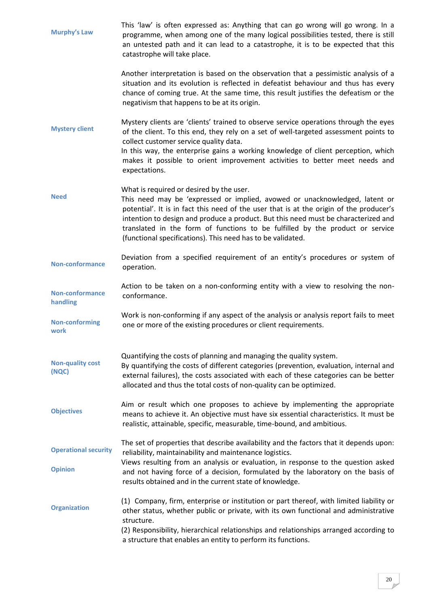<span id="page-19-10"></span><span id="page-19-9"></span><span id="page-19-8"></span><span id="page-19-7"></span><span id="page-19-6"></span><span id="page-19-5"></span><span id="page-19-4"></span><span id="page-19-3"></span><span id="page-19-2"></span><span id="page-19-1"></span><span id="page-19-0"></span>

| <b>Murphy's Law</b>                           | This 'law' is often expressed as: Anything that can go wrong will go wrong. In a<br>programme, when among one of the many logical possibilities tested, there is still<br>an untested path and it can lead to a catastrophe, it is to be expected that this<br>catastrophe will take place.                                                                                                                                                              |
|-----------------------------------------------|----------------------------------------------------------------------------------------------------------------------------------------------------------------------------------------------------------------------------------------------------------------------------------------------------------------------------------------------------------------------------------------------------------------------------------------------------------|
|                                               | Another interpretation is based on the observation that a pessimistic analysis of a<br>situation and its evolution is reflected in defeatist behaviour and thus has every<br>chance of coming true. At the same time, this result justifies the defeatism or the<br>negativism that happens to be at its origin.                                                                                                                                         |
| <b>Mystery client</b>                         | Mystery clients are 'clients' trained to observe service operations through the eyes<br>of the client. To this end, they rely on a set of well-targeted assessment points to<br>collect customer service quality data.<br>In this way, the enterprise gains a working knowledge of client perception, which<br>makes it possible to orient improvement activities to better meet needs and<br>expectations.                                              |
| <b>Need</b>                                   | What is required or desired by the user.<br>This need may be 'expressed or implied, avowed or unacknowledged, latent or<br>potential'. It is in fact this need of the user that is at the origin of the producer's<br>intention to design and produce a product. But this need must be characterized and<br>translated in the form of functions to be fulfilled by the product or service<br>(functional specifications). This need has to be validated. |
| <b>Non-conformance</b>                        | Deviation from a specified requirement of an entity's procedures or system of<br>operation.                                                                                                                                                                                                                                                                                                                                                              |
| <b>Non-conformance</b><br>handling            | Action to be taken on a non-conforming entity with a view to resolving the non-<br>conformance.                                                                                                                                                                                                                                                                                                                                                          |
| <b>Non-conforming</b><br>work                 | Work is non-conforming if any aspect of the analysis or analysis report fails to meet<br>one or more of the existing procedures or client requirements.                                                                                                                                                                                                                                                                                                  |
| <b>Non-quality cost</b><br>(NQC)              | Quantifying the costs of planning and managing the quality system.<br>By quantifying the costs of different categories (prevention, evaluation, internal and<br>external failures), the costs associated with each of these categories can be better<br>allocated and thus the total costs of non-quality can be optimized.                                                                                                                              |
| <b>Objectives</b>                             | Aim or result which one proposes to achieve by implementing the appropriate<br>means to achieve it. An objective must have six essential characteristics. It must be<br>realistic, attainable, specific, measurable, time-bound, and ambitious.                                                                                                                                                                                                          |
| <b>Operational security</b><br><b>Opinion</b> | The set of properties that describe availability and the factors that it depends upon:<br>reliability, maintainability and maintenance logistics.<br>Views resulting from an analysis or evaluation, in response to the question asked<br>and not having force of a decision, formulated by the laboratory on the basis of<br>results obtained and in the current state of knowledge.                                                                    |
| <b>Organization</b>                           | (1) Company, firm, enterprise or institution or part thereof, with limited liability or<br>other status, whether public or private, with its own functional and administrative<br>structure.<br>(2) Responsibility, hierarchical relationships and relationships arranged according to<br>a structure that enables an entity to perform its functions.                                                                                                   |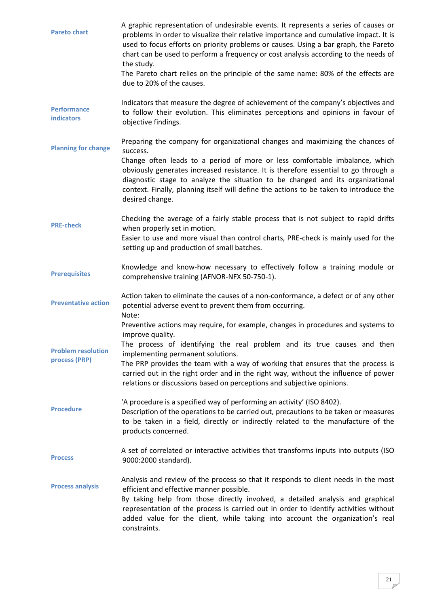<span id="page-20-9"></span><span id="page-20-8"></span><span id="page-20-7"></span><span id="page-20-6"></span><span id="page-20-5"></span><span id="page-20-4"></span><span id="page-20-3"></span><span id="page-20-2"></span><span id="page-20-1"></span><span id="page-20-0"></span>

| <b>Pareto chart</b>                        | A graphic representation of undesirable events. It represents a series of causes or<br>problems in order to visualize their relative importance and cumulative impact. It is<br>used to focus efforts on priority problems or causes. Using a bar graph, the Pareto<br>chart can be used to perform a frequency or cost analysis according to the needs of<br>the study.<br>The Pareto chart relies on the principle of the same name: 80% of the effects are<br>due to 20% of the causes. |
|--------------------------------------------|--------------------------------------------------------------------------------------------------------------------------------------------------------------------------------------------------------------------------------------------------------------------------------------------------------------------------------------------------------------------------------------------------------------------------------------------------------------------------------------------|
| <b>Performance</b><br><b>indicators</b>    | Indicators that measure the degree of achievement of the company's objectives and<br>to follow their evolution. This eliminates perceptions and opinions in favour of<br>objective findings.                                                                                                                                                                                                                                                                                               |
| <b>Planning for change</b>                 | Preparing the company for organizational changes and maximizing the chances of<br>success.<br>Change often leads to a period of more or less comfortable imbalance, which<br>obviously generates increased resistance. It is therefore essential to go through a<br>diagnostic stage to analyze the situation to be changed and its organizational<br>context. Finally, planning itself will define the actions to be taken to introduce the<br>desired change.                            |
| <b>PRE-check</b>                           | Checking the average of a fairly stable process that is not subject to rapid drifts<br>when properly set in motion.<br>Easier to use and more visual than control charts, PRE-check is mainly used for the<br>setting up and production of small batches.                                                                                                                                                                                                                                  |
| <b>Prerequisites</b>                       | Knowledge and know-how necessary to effectively follow a training module or<br>comprehensive training (AFNOR-NFX 50-750-1).                                                                                                                                                                                                                                                                                                                                                                |
| <b>Preventative action</b>                 | Action taken to eliminate the causes of a non-conformance, a defect or of any other<br>potential adverse event to prevent them from occurring.<br>Note:                                                                                                                                                                                                                                                                                                                                    |
| <b>Problem resolution</b><br>process (PRP) | Preventive actions may require, for example, changes in procedures and systems to<br>improve quality.<br>The process of identifying the real problem and its true causes and then<br>implementing permanent solutions.<br>The PRP provides the team with a way of working that ensures that the process is<br>carried out in the right order and in the right way, without the influence of power<br>relations or discussions based on perceptions and subjective opinions.                |
| <b>Procedure</b>                           | 'A procedure is a specified way of performing an activity' (ISO 8402).<br>Description of the operations to be carried out, precautions to be taken or measures<br>to be taken in a field, directly or indirectly related to the manufacture of the<br>products concerned.                                                                                                                                                                                                                  |
| <b>Process</b>                             | A set of correlated or interactive activities that transforms inputs into outputs (ISO<br>9000:2000 standard).                                                                                                                                                                                                                                                                                                                                                                             |
| <b>Process analysis</b>                    | Analysis and review of the process so that it responds to client needs in the most<br>efficient and effective manner possible.<br>By taking help from those directly involved, a detailed analysis and graphical<br>representation of the process is carried out in order to identify activities without<br>added value for the client, while taking into account the organization's real<br>constraints.                                                                                  |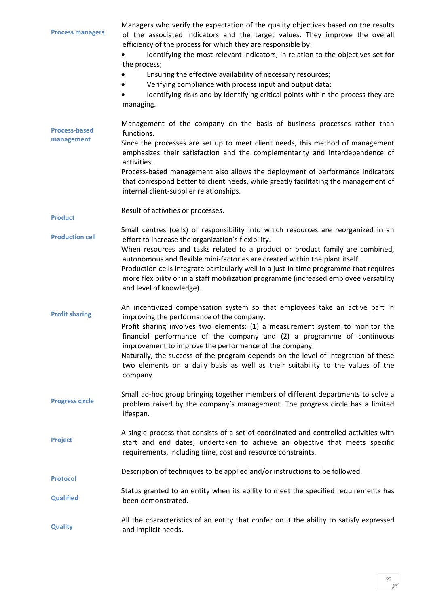<span id="page-21-9"></span><span id="page-21-8"></span><span id="page-21-7"></span><span id="page-21-6"></span><span id="page-21-5"></span><span id="page-21-4"></span><span id="page-21-3"></span><span id="page-21-2"></span><span id="page-21-1"></span><span id="page-21-0"></span>

| <b>Process managers</b>            | Managers who verify the expectation of the quality objectives based on the results<br>of the associated indicators and the target values. They improve the overall<br>efficiency of the process for which they are responsible by:<br>Identifying the most relevant indicators, in relation to the objectives set for<br>the process;<br>Ensuring the effective availability of necessary resources;<br>Verifying compliance with process input and output data;<br>Identifying risks and by identifying critical points within the process they are<br>managing. |
|------------------------------------|-------------------------------------------------------------------------------------------------------------------------------------------------------------------------------------------------------------------------------------------------------------------------------------------------------------------------------------------------------------------------------------------------------------------------------------------------------------------------------------------------------------------------------------------------------------------|
| <b>Process-based</b><br>management | Management of the company on the basis of business processes rather than<br>functions.<br>Since the processes are set up to meet client needs, this method of management<br>emphasizes their satisfaction and the complementarity and interdependence of<br>activities.<br>Process-based management also allows the deployment of performance indicators<br>that correspond better to client needs, while greatly facilitating the management of<br>internal client-supplier relationships.                                                                       |
| <b>Product</b>                     | Result of activities or processes.                                                                                                                                                                                                                                                                                                                                                                                                                                                                                                                                |
| <b>Production cell</b>             | Small centres (cells) of responsibility into which resources are reorganized in an<br>effort to increase the organization's flexibility.<br>When resources and tasks related to a product or product family are combined,<br>autonomous and flexible mini-factories are created within the plant itself.<br>Production cells integrate particularly well in a just-in-time programme that requires<br>more flexibility or in a staff mobilization programme (increased employee versatility<br>and level of knowledge).                                           |
| <b>Profit sharing</b>              | An incentivized compensation system so that employees take an active part in<br>improving the performance of the company.<br>Profit sharing involves two elements: (1) a measurement system to monitor the<br>financial performance of the company and (2) a programme of continuous<br>improvement to improve the performance of the company.<br>Naturally, the success of the program depends on the level of integration of these<br>two elements on a daily basis as well as their suitability to the values of the<br>company.                               |
| <b>Progress circle</b>             | Small ad-hoc group bringing together members of different departments to solve a<br>problem raised by the company's management. The progress circle has a limited<br>lifespan.                                                                                                                                                                                                                                                                                                                                                                                    |
| <b>Project</b>                     | A single process that consists of a set of coordinated and controlled activities with<br>start and end dates, undertaken to achieve an objective that meets specific<br>requirements, including time, cost and resource constraints.                                                                                                                                                                                                                                                                                                                              |
| <b>Protocol</b>                    | Description of techniques to be applied and/or instructions to be followed.                                                                                                                                                                                                                                                                                                                                                                                                                                                                                       |
| <b>Qualified</b>                   | Status granted to an entity when its ability to meet the specified requirements has<br>been demonstrated.                                                                                                                                                                                                                                                                                                                                                                                                                                                         |
| <b>Quality</b>                     | All the characteristics of an entity that confer on it the ability to satisfy expressed<br>and implicit needs.                                                                                                                                                                                                                                                                                                                                                                                                                                                    |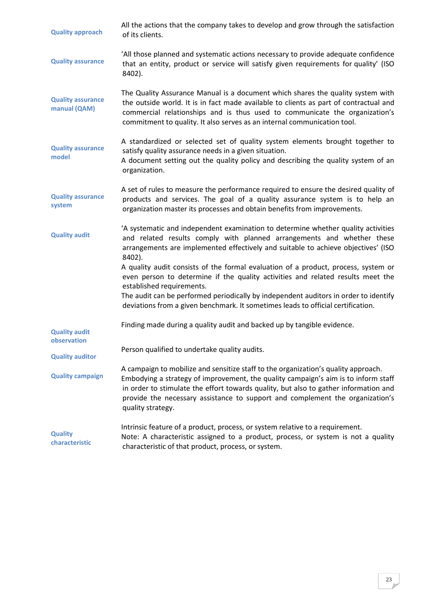<span id="page-22-9"></span><span id="page-22-8"></span><span id="page-22-7"></span><span id="page-22-6"></span><span id="page-22-5"></span><span id="page-22-4"></span><span id="page-22-3"></span><span id="page-22-2"></span><span id="page-22-1"></span><span id="page-22-0"></span>

| <b>Quality approach</b>                  | All the actions that the company takes to develop and grow through the satisfaction<br>of its clients.                                                                                                                                                                                                                                                                                                                                                                                                                                                                                                                                       |
|------------------------------------------|----------------------------------------------------------------------------------------------------------------------------------------------------------------------------------------------------------------------------------------------------------------------------------------------------------------------------------------------------------------------------------------------------------------------------------------------------------------------------------------------------------------------------------------------------------------------------------------------------------------------------------------------|
| <b>Quality assurance</b>                 | 'All those planned and systematic actions necessary to provide adequate confidence<br>that an entity, product or service will satisfy given requirements for quality' (ISO<br>8402).                                                                                                                                                                                                                                                                                                                                                                                                                                                         |
| <b>Quality assurance</b><br>manual (QAM) | The Quality Assurance Manual is a document which shares the quality system with<br>the outside world. It is in fact made available to clients as part of contractual and<br>commercial relationships and is thus used to communicate the organization's<br>commitment to quality. It also serves as an internal communication tool.                                                                                                                                                                                                                                                                                                          |
| <b>Quality assurance</b><br>model        | A standardized or selected set of quality system elements brought together to<br>satisfy quality assurance needs in a given situation.<br>A document setting out the quality policy and describing the quality system of an<br>organization.                                                                                                                                                                                                                                                                                                                                                                                                 |
| <b>Quality assurance</b><br>system       | A set of rules to measure the performance required to ensure the desired quality of<br>products and services. The goal of a quality assurance system is to help an<br>organization master its processes and obtain benefits from improvements.                                                                                                                                                                                                                                                                                                                                                                                               |
| <b>Quality audit</b>                     | 'A systematic and independent examination to determine whether quality activities<br>and related results comply with planned arrangements and whether these<br>arrangements are implemented effectively and suitable to achieve objectives' (ISO<br>8402).<br>A quality audit consists of the formal evaluation of a product, process, system or<br>even person to determine if the quality activities and related results meet the<br>established requirements.<br>The audit can be performed periodically by independent auditors in order to identify<br>deviations from a given benchmark. It sometimes leads to official certification. |
| <b>Quality audit</b><br>observation      | Finding made during a quality audit and backed up by tangible evidence.                                                                                                                                                                                                                                                                                                                                                                                                                                                                                                                                                                      |
| <b>Quality auditor</b>                   | Person qualified to undertake quality audits.                                                                                                                                                                                                                                                                                                                                                                                                                                                                                                                                                                                                |
| <b>Quality campaign</b>                  | A campaign to mobilize and sensitize staff to the organization's quality approach.<br>Embodying a strategy of improvement, the quality campaign's aim is to inform staff<br>in order to stimulate the effort towards quality, but also to gather information and<br>provide the necessary assistance to support and complement the organization's<br>quality strategy.                                                                                                                                                                                                                                                                       |
| <b>Quality</b><br>characteristic         | Intrinsic feature of a product, process, or system relative to a requirement.<br>Note: A characteristic assigned to a product, process, or system is not a quality<br>characteristic of that product, process, or system.                                                                                                                                                                                                                                                                                                                                                                                                                    |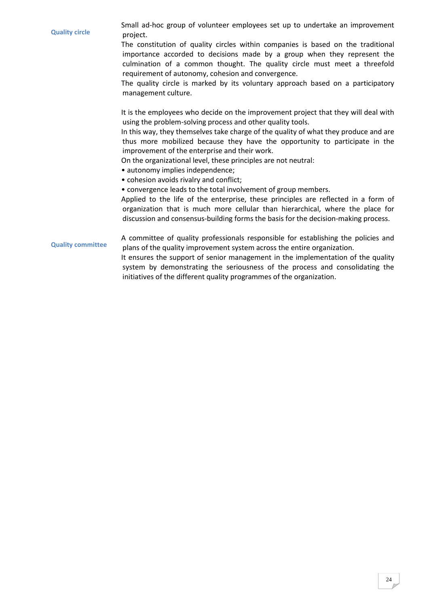<span id="page-23-1"></span><span id="page-23-0"></span>**Quality circle** Small ad-hoc group of volunteer employees set up to undertake an improvement project. The constitution of quality circles within companies is based on the traditional importance accorded to decisions made by a group when they represent the culmination of a common thought. The quality circle must meet a threefold requirement of autonomy, cohesion and convergence. The quality circle is marked by its voluntary approach based on a participatory management culture. It is the employees who decide on the improvement project that they will deal with using the problem-solving process and other quality tools. In this way, they themselves take charge of the quality of what they produce and are thus more mobilized because they have the opportunity to participate in the improvement of the enterprise and their work. On the organizational level, these principles are not neutral: • autonomy implies independence; • cohesion avoids rivalry and conflict; • convergence leads to the total involvement of group members. Applied to the life of the enterprise, these principles are reflected in a form of organization that is much more cellular than hierarchical, where the place for discussion and consensus-building forms the basis for the decision-making process. **Quality committee** A committee of quality professionals responsible for establishing the policies and plans of the quality improvement system across the entire organization. It ensures the support of senior management in the implementation of the quality system by demonstrating the seriousness of the process and consolidating the initiatives of the different quality programmes of the organization.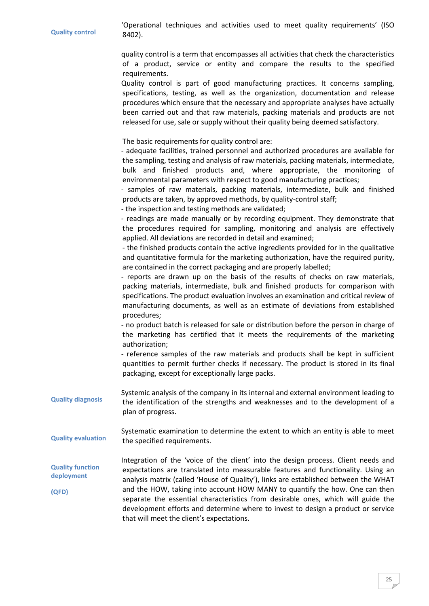<span id="page-24-4"></span><span id="page-24-3"></span><span id="page-24-2"></span><span id="page-24-1"></span><span id="page-24-0"></span>

| <b>Quality control</b>                         | operational techniques and activities ased to meet quality requirements. (150<br>8402).                                                                                                                                                                                                                                                                                                                                                                                                                                                                                                                                                                                                                                                                                                                                                                                                                                                                                                                              |
|------------------------------------------------|----------------------------------------------------------------------------------------------------------------------------------------------------------------------------------------------------------------------------------------------------------------------------------------------------------------------------------------------------------------------------------------------------------------------------------------------------------------------------------------------------------------------------------------------------------------------------------------------------------------------------------------------------------------------------------------------------------------------------------------------------------------------------------------------------------------------------------------------------------------------------------------------------------------------------------------------------------------------------------------------------------------------|
|                                                | quality control is a term that encompasses all activities that check the characteristics<br>of a product, service or entity and compare the results to the specified<br>requirements.<br>Quality control is part of good manufacturing practices. It concerns sampling,<br>specifications, testing, as well as the organization, documentation and release<br>procedures which ensure that the necessary and appropriate analyses have actually<br>been carried out and that raw materials, packing materials and products are not<br>released for use, sale or supply without their quality being deemed satisfactory.                                                                                                                                                                                                                                                                                                                                                                                              |
|                                                | The basic requirements for quality control are:<br>- adequate facilities, trained personnel and authorized procedures are available for<br>the sampling, testing and analysis of raw materials, packing materials, intermediate,<br>bulk and finished products and, where appropriate, the monitoring of<br>environmental parameters with respect to good manufacturing practices;<br>- samples of raw materials, packing materials, intermediate, bulk and finished<br>products are taken, by approved methods, by quality-control staff;<br>- the inspection and testing methods are validated;<br>- readings are made manually or by recording equipment. They demonstrate that<br>the procedures required for sampling, monitoring and analysis are effectively<br>applied. All deviations are recorded in detail and examined;<br>- the finished products contain the active ingredients provided for in the qualitative<br>and quantitative formula for the marketing authorization, have the required purity, |
|                                                | are contained in the correct packaging and are properly labelled;<br>- reports are drawn up on the basis of the results of checks on raw materials,<br>packing materials, intermediate, bulk and finished products for comparison with<br>specifications. The product evaluation involves an examination and critical review of<br>manufacturing documents, as well as an estimate of deviations from established<br>procedures;<br>- no product batch is released for sale or distribution before the person in charge of<br>the marketing has certified that it meets the requirements of the marketing                                                                                                                                                                                                                                                                                                                                                                                                            |
|                                                | authorization;<br>- reference samples of the raw materials and products shall be kept in sufficient<br>quantities to permit further checks if necessary. The product is stored in its final<br>packaging, except for exceptionally large packs.                                                                                                                                                                                                                                                                                                                                                                                                                                                                                                                                                                                                                                                                                                                                                                      |
| <b>Quality diagnosis</b>                       | Systemic analysis of the company in its internal and external environment leading to<br>the identification of the strengths and weaknesses and to the development of a<br>plan of progress.                                                                                                                                                                                                                                                                                                                                                                                                                                                                                                                                                                                                                                                                                                                                                                                                                          |
| <b>Quality evaluation</b>                      | Systematic examination to determine the extent to which an entity is able to meet<br>the specified requirements.                                                                                                                                                                                                                                                                                                                                                                                                                                                                                                                                                                                                                                                                                                                                                                                                                                                                                                     |
| <b>Quality function</b><br>deployment<br>(QFD) | Integration of the 'voice of the client' into the design process. Client needs and<br>expectations are translated into measurable features and functionality. Using an<br>analysis matrix (called 'House of Quality'), links are established between the WHAT<br>and the HOW, taking into account HOW MANY to quantify the how. One can then<br>separate the essential characteristics from desirable ones, which will guide the<br>development efforts and determine where to invest to design a product or service<br>that will meet the client's expectations.                                                                                                                                                                                                                                                                                                                                                                                                                                                    |

'Operational techniques and activities used to meet quality requirements' (ISO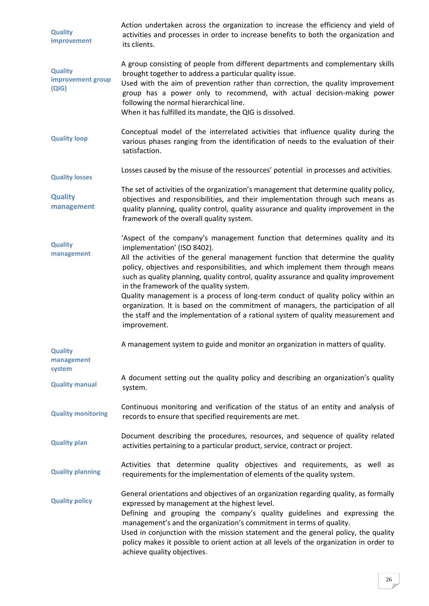<span id="page-25-11"></span><span id="page-25-10"></span><span id="page-25-9"></span><span id="page-25-8"></span><span id="page-25-7"></span><span id="page-25-6"></span><span id="page-25-5"></span><span id="page-25-4"></span><span id="page-25-3"></span><span id="page-25-2"></span><span id="page-25-1"></span><span id="page-25-0"></span>

| <b>Quality</b><br>improvement                | Action undertaken across the organization to increase the efficiency and yield of<br>activities and processes in order to increase benefits to both the organization and<br>its clients.                                                                                                                                                                                                                                                                                                                                                                                                                                                                                                           |
|----------------------------------------------|----------------------------------------------------------------------------------------------------------------------------------------------------------------------------------------------------------------------------------------------------------------------------------------------------------------------------------------------------------------------------------------------------------------------------------------------------------------------------------------------------------------------------------------------------------------------------------------------------------------------------------------------------------------------------------------------------|
| <b>Quality</b><br>improvement group<br>(QIG) | A group consisting of people from different departments and complementary skills<br>brought together to address a particular quality issue.<br>Used with the aim of prevention rather than correction, the quality improvement<br>group has a power only to recommend, with actual decision-making power<br>following the normal hierarchical line.<br>When it has fulfilled its mandate, the QIG is dissolved.                                                                                                                                                                                                                                                                                    |
| <b>Quality loop</b>                          | Conceptual model of the interrelated activities that influence quality during the<br>various phases ranging from the identification of needs to the evaluation of their<br>satisfaction.                                                                                                                                                                                                                                                                                                                                                                                                                                                                                                           |
| <b>Quality losses</b>                        | Losses caused by the misuse of the ressources' potential in processes and activities.                                                                                                                                                                                                                                                                                                                                                                                                                                                                                                                                                                                                              |
| <b>Quality</b><br>management                 | The set of activities of the organization's management that determine quality policy,<br>objectives and responsibilities, and their implementation through such means as<br>quality planning, quality control, quality assurance and quality improvement in the<br>framework of the overall quality system.                                                                                                                                                                                                                                                                                                                                                                                        |
| <b>Quality</b><br>management                 | 'Aspect of the company's management function that determines quality and its<br>implementation' (ISO 8402).<br>All the activities of the general management function that determine the quality<br>policy, objectives and responsibilities, and which implement them through means<br>such as quality planning, quality control, quality assurance and quality improvement<br>in the framework of the quality system.<br>Quality management is a process of long-term conduct of quality policy within an<br>organization. It is based on the commitment of managers, the participation of all<br>the staff and the implementation of a rational system of quality measurement and<br>improvement. |
| <b>Quality</b><br>management<br>system       | A management system to guide and monitor an organization in matters of quality.                                                                                                                                                                                                                                                                                                                                                                                                                                                                                                                                                                                                                    |
| <b>Quality manual</b>                        | A document setting out the quality policy and describing an organization's quality<br>system.                                                                                                                                                                                                                                                                                                                                                                                                                                                                                                                                                                                                      |
| <b>Quality monitoring</b>                    | Continuous monitoring and verification of the status of an entity and analysis of<br>records to ensure that specified requirements are met.                                                                                                                                                                                                                                                                                                                                                                                                                                                                                                                                                        |
| <b>Quality plan</b>                          | Document describing the procedures, resources, and sequence of quality related<br>activities pertaining to a particular product, service, contract or project.                                                                                                                                                                                                                                                                                                                                                                                                                                                                                                                                     |
| <b>Quality planning</b>                      | Activities that determine quality objectives and requirements, as well as<br>requirements for the implementation of elements of the quality system.                                                                                                                                                                                                                                                                                                                                                                                                                                                                                                                                                |
| <b>Quality policy</b>                        | General orientations and objectives of an organization regarding quality, as formally<br>expressed by management at the highest level.<br>Defining and grouping the company's quality guidelines and expressing the<br>management's and the organization's commitment in terms of quality.<br>Used in conjunction with the mission statement and the general policy, the quality<br>policy makes it possible to orient action at all levels of the organization in order to<br>achieve quality objectives.                                                                                                                                                                                         |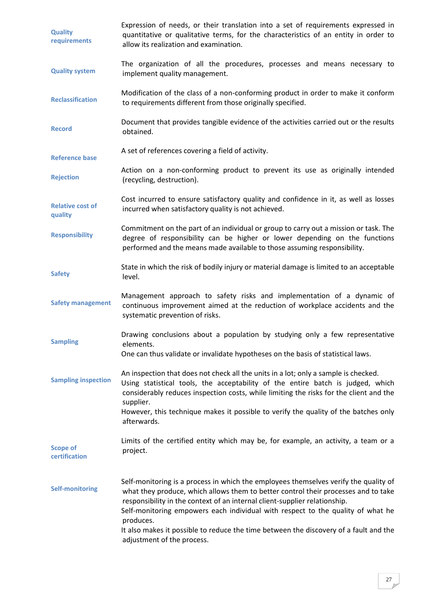<span id="page-26-13"></span><span id="page-26-12"></span><span id="page-26-11"></span><span id="page-26-10"></span><span id="page-26-9"></span><span id="page-26-8"></span><span id="page-26-7"></span><span id="page-26-6"></span><span id="page-26-5"></span><span id="page-26-4"></span><span id="page-26-3"></span><span id="page-26-2"></span><span id="page-26-1"></span><span id="page-26-0"></span>

| <b>Quality</b><br>requirements     | Expression of needs, or their translation into a set of requirements expressed in<br>quantitative or qualitative terms, for the characteristics of an entity in order to<br>allow its realization and examination.                                                                                                                                                                                                                                                              |
|------------------------------------|---------------------------------------------------------------------------------------------------------------------------------------------------------------------------------------------------------------------------------------------------------------------------------------------------------------------------------------------------------------------------------------------------------------------------------------------------------------------------------|
| <b>Quality system</b>              | The organization of all the procedures, processes and means necessary to<br>implement quality management.                                                                                                                                                                                                                                                                                                                                                                       |
| <b>Reclassification</b>            | Modification of the class of a non-conforming product in order to make it conform<br>to requirements different from those originally specified.                                                                                                                                                                                                                                                                                                                                 |
| <b>Record</b>                      | Document that provides tangible evidence of the activities carried out or the results<br>obtained.                                                                                                                                                                                                                                                                                                                                                                              |
| <b>Reference base</b>              | A set of references covering a field of activity.                                                                                                                                                                                                                                                                                                                                                                                                                               |
| <b>Rejection</b>                   | Action on a non-conforming product to prevent its use as originally intended<br>(recycling, destruction).                                                                                                                                                                                                                                                                                                                                                                       |
| <b>Relative cost of</b><br>quality | Cost incurred to ensure satisfactory quality and confidence in it, as well as losses<br>incurred when satisfactory quality is not achieved.                                                                                                                                                                                                                                                                                                                                     |
| <b>Responsibility</b>              | Commitment on the part of an individual or group to carry out a mission or task. The<br>degree of responsibility can be higher or lower depending on the functions<br>performed and the means made available to those assuming responsibility.                                                                                                                                                                                                                                  |
| <b>Safety</b>                      | State in which the risk of bodily injury or material damage is limited to an acceptable<br>level.                                                                                                                                                                                                                                                                                                                                                                               |
| <b>Safety management</b>           | Management approach to safety risks and implementation of a dynamic of<br>continuous improvement aimed at the reduction of workplace accidents and the<br>systematic prevention of risks.                                                                                                                                                                                                                                                                                       |
| <b>Sampling</b>                    | Drawing conclusions about a population by studying only a few representative<br>elements<br>One can thus validate or invalidate hypotheses on the basis of statistical laws.                                                                                                                                                                                                                                                                                                    |
| <b>Sampling inspection</b>         | An inspection that does not check all the units in a lot; only a sample is checked.<br>Using statistical tools, the acceptability of the entire batch is judged, which<br>considerably reduces inspection costs, while limiting the risks for the client and the<br>supplier.<br>However, this technique makes it possible to verify the quality of the batches only<br>afterwards.                                                                                             |
| <b>Scope of</b><br>certification   | Limits of the certified entity which may be, for example, an activity, a team or a<br>project.                                                                                                                                                                                                                                                                                                                                                                                  |
| <b>Self-monitoring</b>             | Self-monitoring is a process in which the employees themselves verify the quality of<br>what they produce, which allows them to better control their processes and to take<br>responsibility in the context of an internal client-supplier relationship.<br>Self-monitoring empowers each individual with respect to the quality of what he<br>produces.<br>It also makes it possible to reduce the time between the discovery of a fault and the<br>adjustment of the process. |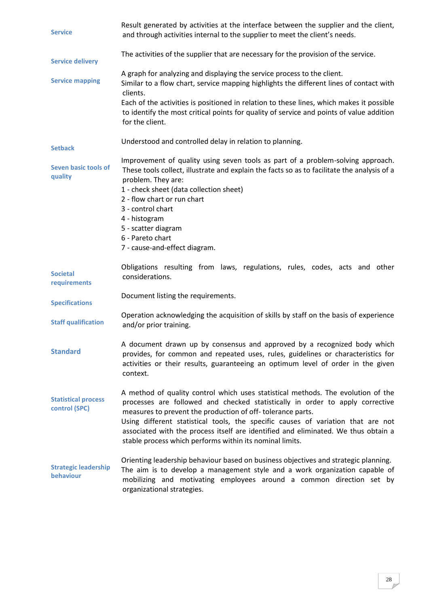<span id="page-27-10"></span><span id="page-27-9"></span><span id="page-27-8"></span><span id="page-27-7"></span><span id="page-27-6"></span><span id="page-27-5"></span><span id="page-27-4"></span><span id="page-27-3"></span><span id="page-27-2"></span><span id="page-27-1"></span><span id="page-27-0"></span>

| <b>Service</b>                              | Result generated by activities at the interface between the supplier and the client,<br>and through activities internal to the supplier to meet the client's needs.                                                                                                                                                                                                                                                                                                   |
|---------------------------------------------|-----------------------------------------------------------------------------------------------------------------------------------------------------------------------------------------------------------------------------------------------------------------------------------------------------------------------------------------------------------------------------------------------------------------------------------------------------------------------|
| <b>Service delivery</b>                     | The activities of the supplier that are necessary for the provision of the service.                                                                                                                                                                                                                                                                                                                                                                                   |
| <b>Service mapping</b>                      | A graph for analyzing and displaying the service process to the client.<br>Similar to a flow chart, service mapping highlights the different lines of contact with<br>clients.<br>Each of the activities is positioned in relation to these lines, which makes it possible<br>to identify the most critical points for quality of service and points of value addition<br>for the client.                                                                             |
| <b>Setback</b>                              | Understood and controlled delay in relation to planning.                                                                                                                                                                                                                                                                                                                                                                                                              |
| Seven basic tools of<br>quality             | Improvement of quality using seven tools as part of a problem-solving approach.<br>These tools collect, illustrate and explain the facts so as to facilitate the analysis of a<br>problem. They are:<br>1 - check sheet (data collection sheet)<br>2 - flow chart or run chart<br>3 - control chart<br>4 - histogram<br>5 - scatter diagram<br>6 - Pareto chart<br>7 - cause-and-effect diagram.                                                                      |
| <b>Societal</b><br>requirements             | Obligations resulting from laws, regulations, rules, codes, acts and other<br>considerations.                                                                                                                                                                                                                                                                                                                                                                         |
| <b>Specifications</b>                       | Document listing the requirements.                                                                                                                                                                                                                                                                                                                                                                                                                                    |
| <b>Staff qualification</b>                  | Operation acknowledging the acquisition of skills by staff on the basis of experience<br>and/or prior training.                                                                                                                                                                                                                                                                                                                                                       |
| <b>Standard</b>                             | A document drawn up by consensus and approved by a recognized body which<br>provides, for common and repeated uses, rules, guidelines or characteristics for<br>activities or their results, guaranteeing an optimum level of order in the given<br>context.                                                                                                                                                                                                          |
| <b>Statistical process</b><br>control (SPC) | A method of quality control which uses statistical methods. The evolution of the<br>processes are followed and checked statistically in order to apply corrective<br>measures to prevent the production of off-tolerance parts.<br>Using different statistical tools, the specific causes of variation that are not<br>associated with the process itself are identified and eliminated. We thus obtain a<br>stable process which performs within its nominal limits. |
| <b>Strategic leadership</b><br>behaviour    | Orienting leadership behaviour based on business objectives and strategic planning.<br>The aim is to develop a management style and a work organization capable of<br>mobilizing and motivating employees around a common direction set by<br>organizational strategies.                                                                                                                                                                                              |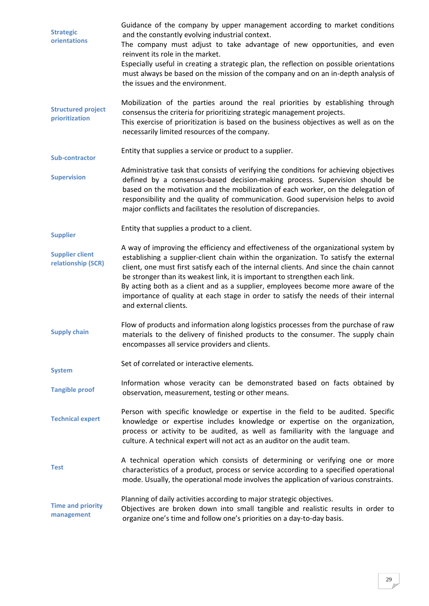<span id="page-28-11"></span><span id="page-28-10"></span><span id="page-28-9"></span><span id="page-28-8"></span><span id="page-28-7"></span><span id="page-28-6"></span><span id="page-28-5"></span><span id="page-28-4"></span><span id="page-28-3"></span><span id="page-28-2"></span><span id="page-28-1"></span><span id="page-28-0"></span>

| <b>Strategic</b><br>orientations             | Guidance of the company by upper management according to market conditions<br>and the constantly evolving industrial context.<br>The company must adjust to take advantage of new opportunities, and even<br>reinvent its role in the market.<br>Especially useful in creating a strategic plan, the reflection on possible orientations<br>must always be based on the mission of the company and on an in-depth analysis of<br>the issues and the environment.                                                                                           |
|----------------------------------------------|------------------------------------------------------------------------------------------------------------------------------------------------------------------------------------------------------------------------------------------------------------------------------------------------------------------------------------------------------------------------------------------------------------------------------------------------------------------------------------------------------------------------------------------------------------|
| <b>Structured project</b><br>prioritization  | Mobilization of the parties around the real priorities by establishing through<br>consensus the criteria for prioritizing strategic management projects.<br>This exercise of prioritization is based on the business objectives as well as on the<br>necessarily limited resources of the company.                                                                                                                                                                                                                                                         |
| Sub-contractor                               | Entity that supplies a service or product to a supplier.                                                                                                                                                                                                                                                                                                                                                                                                                                                                                                   |
| <b>Supervision</b>                           | Administrative task that consists of verifying the conditions for achieving objectives<br>defined by a consensus-based decision-making process. Supervision should be<br>based on the motivation and the mobilization of each worker, on the delegation of<br>responsibility and the quality of communication. Good supervision helps to avoid<br>major conflicts and facilitates the resolution of discrepancies.                                                                                                                                         |
| <b>Supplier</b>                              | Entity that supplies a product to a client.                                                                                                                                                                                                                                                                                                                                                                                                                                                                                                                |
| <b>Supplier client</b><br>relationship (SCR) | A way of improving the efficiency and effectiveness of the organizational system by<br>establishing a supplier-client chain within the organization. To satisfy the external<br>client, one must first satisfy each of the internal clients. And since the chain cannot<br>be stronger than its weakest link, it is important to strengthen each link.<br>By acting both as a client and as a supplier, employees become more aware of the<br>importance of quality at each stage in order to satisfy the needs of their internal<br>and external clients. |
| <b>Supply chain</b>                          | Flow of products and information along logistics processes from the purchase of raw<br>materials to the delivery of finished products to the consumer. The supply chain<br>encompasses all service providers and clients.                                                                                                                                                                                                                                                                                                                                  |
| <b>System</b>                                | Set of correlated or interactive elements.                                                                                                                                                                                                                                                                                                                                                                                                                                                                                                                 |
| <b>Tangible proof</b>                        | Information whose veracity can be demonstrated based on facts obtained by<br>observation, measurement, testing or other means.                                                                                                                                                                                                                                                                                                                                                                                                                             |
| <b>Technical expert</b>                      | Person with specific knowledge or expertise in the field to be audited. Specific<br>knowledge or expertise includes knowledge or expertise on the organization,<br>process or activity to be audited, as well as familiarity with the language and<br>culture. A technical expert will not act as an auditor on the audit team.                                                                                                                                                                                                                            |
| <b>Test</b>                                  | A technical operation which consists of determining or verifying one or more<br>characteristics of a product, process or service according to a specified operational<br>mode. Usually, the operational mode involves the application of various constraints.                                                                                                                                                                                                                                                                                              |
| <b>Time and priority</b><br>management       | Planning of daily activities according to major strategic objectives.<br>Objectives are broken down into small tangible and realistic results in order to<br>organize one's time and follow one's priorities on a day-to-day basis.                                                                                                                                                                                                                                                                                                                        |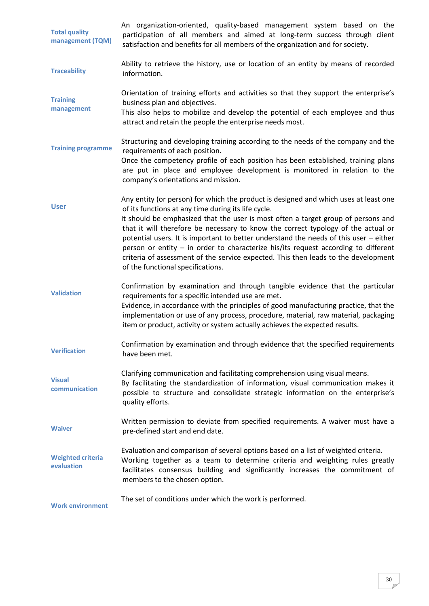<span id="page-29-10"></span><span id="page-29-9"></span><span id="page-29-8"></span><span id="page-29-7"></span><span id="page-29-6"></span><span id="page-29-5"></span><span id="page-29-4"></span><span id="page-29-3"></span><span id="page-29-2"></span><span id="page-29-1"></span><span id="page-29-0"></span>

| <b>Total quality</b><br>management (TQM) | An organization-oriented, quality-based management system based on the<br>participation of all members and aimed at long-term success through client<br>satisfaction and benefits for all members of the organization and for society.                                                                                                                                                                                                                                                                                                                                                                                          |
|------------------------------------------|---------------------------------------------------------------------------------------------------------------------------------------------------------------------------------------------------------------------------------------------------------------------------------------------------------------------------------------------------------------------------------------------------------------------------------------------------------------------------------------------------------------------------------------------------------------------------------------------------------------------------------|
| <b>Traceability</b>                      | Ability to retrieve the history, use or location of an entity by means of recorded<br>information.                                                                                                                                                                                                                                                                                                                                                                                                                                                                                                                              |
| <b>Training</b><br>management            | Orientation of training efforts and activities so that they support the enterprise's<br>business plan and objectives.<br>This also helps to mobilize and develop the potential of each employee and thus<br>attract and retain the people the enterprise needs most.                                                                                                                                                                                                                                                                                                                                                            |
| <b>Training programme</b>                | Structuring and developing training according to the needs of the company and the<br>requirements of each position.<br>Once the competency profile of each position has been established, training plans<br>are put in place and employee development is monitored in relation to the<br>company's orientations and mission.                                                                                                                                                                                                                                                                                                    |
| <b>User</b>                              | Any entity (or person) for which the product is designed and which uses at least one<br>of its functions at any time during its life cycle.<br>It should be emphasized that the user is most often a target group of persons and<br>that it will therefore be necessary to know the correct typology of the actual or<br>potential users. It is important to better understand the needs of this user - either<br>person or entity - in order to characterize his/its request according to different<br>criteria of assessment of the service expected. This then leads to the development<br>of the functional specifications. |
| <b>Validation</b>                        | Confirmation by examination and through tangible evidence that the particular<br>requirements for a specific intended use are met.<br>Evidence, in accordance with the principles of good manufacturing practice, that the<br>implementation or use of any process, procedure, material, raw material, packaging<br>item or product, activity or system actually achieves the expected results.                                                                                                                                                                                                                                 |
| <b>Verification</b>                      | Confirmation by examination and through evidence that the specified requirements<br>have been met.                                                                                                                                                                                                                                                                                                                                                                                                                                                                                                                              |
| <b>Visual</b><br>communication           | Clarifying communication and facilitating comprehension using visual means.<br>By facilitating the standardization of information, visual communication makes it<br>possible to structure and consolidate strategic information on the enterprise's<br>quality efforts.                                                                                                                                                                                                                                                                                                                                                         |
| <b>Waiver</b>                            | Written permission to deviate from specified requirements. A waiver must have a<br>pre-defined start and end date.                                                                                                                                                                                                                                                                                                                                                                                                                                                                                                              |
| <b>Weighted criteria</b><br>evaluation   | Evaluation and comparison of several options based on a list of weighted criteria.<br>Working together as a team to determine criteria and weighting rules greatly<br>facilitates consensus building and significantly increases the commitment of<br>members to the chosen option.                                                                                                                                                                                                                                                                                                                                             |
| <b>Work environment</b>                  | The set of conditions under which the work is performed.                                                                                                                                                                                                                                                                                                                                                                                                                                                                                                                                                                        |